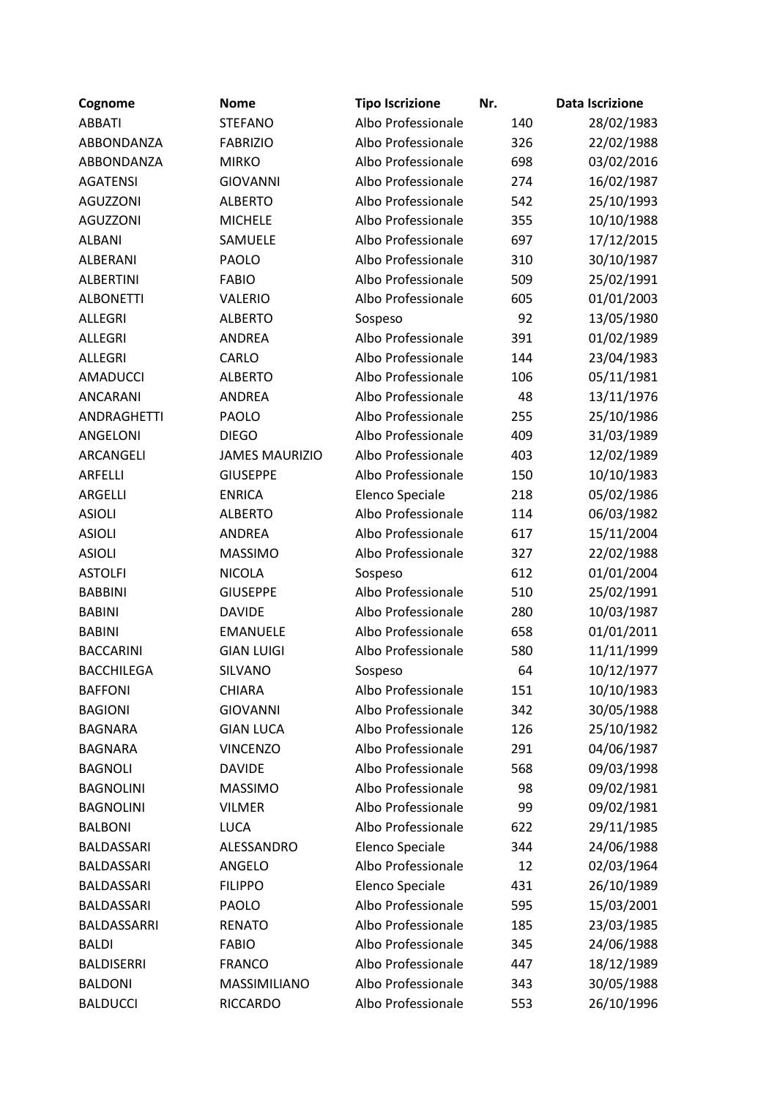| Cognome            | <b>Nome</b>           | <b>Tipo Iscrizione</b> | Nr. | <b>Data Iscrizione</b> |
|--------------------|-----------------------|------------------------|-----|------------------------|
| <b>ABBATI</b>      | <b>STEFANO</b>        | Albo Professionale     | 140 | 28/02/1983             |
| ABBONDANZA         | <b>FABRIZIO</b>       | Albo Professionale     | 326 | 22/02/1988             |
| ABBONDANZA         | <b>MIRKO</b>          | Albo Professionale     | 698 | 03/02/2016             |
| <b>AGATENSI</b>    | <b>GIOVANNI</b>       | Albo Professionale     | 274 | 16/02/1987             |
| <b>AGUZZONI</b>    | <b>ALBERTO</b>        | Albo Professionale     | 542 | 25/10/1993             |
| <b>AGUZZONI</b>    | <b>MICHELE</b>        | Albo Professionale     | 355 | 10/10/1988             |
| <b>ALBANI</b>      | SAMUELE               | Albo Professionale     | 697 | 17/12/2015             |
| <b>ALBERANI</b>    | PAOLO                 | Albo Professionale     | 310 | 30/10/1987             |
| <b>ALBERTINI</b>   | <b>FABIO</b>          | Albo Professionale     | 509 | 25/02/1991             |
| <b>ALBONETTI</b>   | VALERIO               | Albo Professionale     | 605 | 01/01/2003             |
| <b>ALLEGRI</b>     | <b>ALBERTO</b>        | Sospeso                | 92  | 13/05/1980             |
| <b>ALLEGRI</b>     | <b>ANDREA</b>         | Albo Professionale     | 391 | 01/02/1989             |
| <b>ALLEGRI</b>     | CARLO                 | Albo Professionale     | 144 | 23/04/1983             |
| <b>AMADUCCI</b>    | <b>ALBERTO</b>        | Albo Professionale     | 106 | 05/11/1981             |
| <b>ANCARANI</b>    | <b>ANDREA</b>         | Albo Professionale     | 48  | 13/11/1976             |
| <b>ANDRAGHETTI</b> | PAOLO                 | Albo Professionale     | 255 | 25/10/1986             |
| ANGELONI           | <b>DIEGO</b>          | Albo Professionale     | 409 | 31/03/1989             |
| ARCANGELI          | <b>JAMES MAURIZIO</b> | Albo Professionale     | 403 | 12/02/1989             |
| ARFELLI            | <b>GIUSEPPE</b>       | Albo Professionale     | 150 | 10/10/1983             |
| ARGELLI            | <b>ENRICA</b>         | Elenco Speciale        | 218 | 05/02/1986             |
| <b>ASIOLI</b>      | <b>ALBERTO</b>        | Albo Professionale     | 114 | 06/03/1982             |
| <b>ASIOLI</b>      | <b>ANDREA</b>         | Albo Professionale     | 617 | 15/11/2004             |
| <b>ASIOLI</b>      | <b>MASSIMO</b>        | Albo Professionale     | 327 | 22/02/1988             |
| <b>ASTOLFI</b>     | <b>NICOLA</b>         | Sospeso                | 612 | 01/01/2004             |
| <b>BABBINI</b>     | <b>GIUSEPPE</b>       | Albo Professionale     | 510 | 25/02/1991             |
| <b>BABINI</b>      | <b>DAVIDE</b>         | Albo Professionale     | 280 | 10/03/1987             |
| <b>BABINI</b>      | <b>EMANUELE</b>       | Albo Professionale     | 658 | 01/01/2011             |
| <b>BACCARINI</b>   | <b>GIAN LUIGI</b>     | Albo Professionale     | 580 | 11/11/1999             |
| <b>BACCHILEGA</b>  | SILVANO               | Sospeso                | 64  | 10/12/1977             |
| <b>BAFFONI</b>     | <b>CHIARA</b>         | Albo Professionale     | 151 | 10/10/1983             |
| <b>BAGIONI</b>     | <b>GIOVANNI</b>       | Albo Professionale     | 342 | 30/05/1988             |
| <b>BAGNARA</b>     | <b>GIAN LUCA</b>      | Albo Professionale     | 126 | 25/10/1982             |
| <b>BAGNARA</b>     | <b>VINCENZO</b>       | Albo Professionale     | 291 | 04/06/1987             |
| <b>BAGNOLI</b>     | <b>DAVIDE</b>         | Albo Professionale     | 568 | 09/03/1998             |
| <b>BAGNOLINI</b>   | <b>MASSIMO</b>        | Albo Professionale     | 98  | 09/02/1981             |
| <b>BAGNOLINI</b>   | <b>VILMER</b>         | Albo Professionale     | 99  | 09/02/1981             |
| <b>BALBONI</b>     | <b>LUCA</b>           | Albo Professionale     | 622 | 29/11/1985             |
| <b>BALDASSARI</b>  | ALESSANDRO            | Elenco Speciale        | 344 | 24/06/1988             |
| <b>BALDASSARI</b>  | ANGELO                | Albo Professionale     | 12  | 02/03/1964             |
| BALDASSARI         | <b>FILIPPO</b>        | Elenco Speciale        | 431 | 26/10/1989             |
| BALDASSARI         | PAOLO                 | Albo Professionale     | 595 | 15/03/2001             |
| BALDASSARRI        | <b>RENATO</b>         | Albo Professionale     | 185 | 23/03/1985             |
| <b>BALDI</b>       | <b>FABIO</b>          | Albo Professionale     | 345 | 24/06/1988             |
| <b>BALDISERRI</b>  | <b>FRANCO</b>         | Albo Professionale     | 447 | 18/12/1989             |
| <b>BALDONI</b>     | MASSIMILIANO          | Albo Professionale     | 343 | 30/05/1988             |
| <b>BALDUCCI</b>    | <b>RICCARDO</b>       | Albo Professionale     | 553 | 26/10/1996             |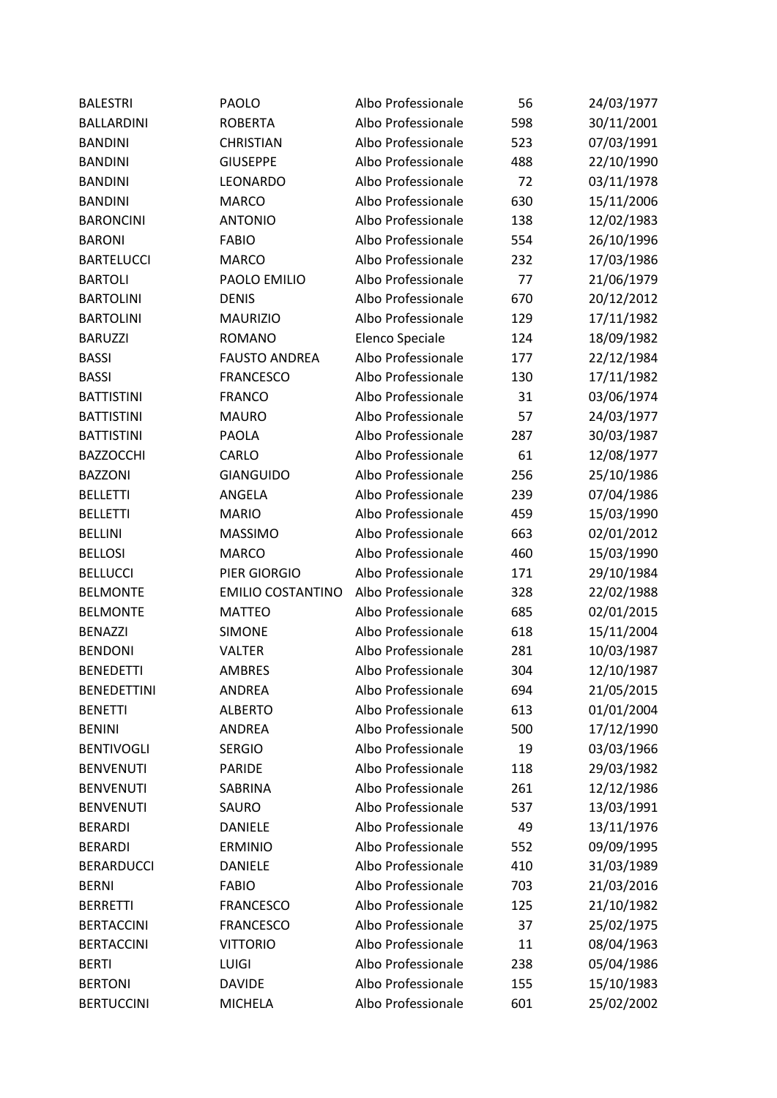| <b>BALESTRI</b>    | <b>PAOLO</b>             | Albo Professionale | 56  | 24/03/1977 |
|--------------------|--------------------------|--------------------|-----|------------|
| <b>BALLARDINI</b>  | <b>ROBERTA</b>           | Albo Professionale | 598 | 30/11/2001 |
| <b>BANDINI</b>     | <b>CHRISTIAN</b>         | Albo Professionale | 523 | 07/03/1991 |
| <b>BANDINI</b>     | <b>GIUSEPPE</b>          | Albo Professionale | 488 | 22/10/1990 |
| <b>BANDINI</b>     | LEONARDO                 | Albo Professionale | 72  | 03/11/1978 |
| <b>BANDINI</b>     | <b>MARCO</b>             | Albo Professionale | 630 | 15/11/2006 |
| <b>BARONCINI</b>   | <b>ANTONIO</b>           | Albo Professionale | 138 | 12/02/1983 |
| <b>BARONI</b>      | <b>FABIO</b>             | Albo Professionale | 554 | 26/10/1996 |
| <b>BARTELUCCI</b>  | <b>MARCO</b>             | Albo Professionale | 232 | 17/03/1986 |
| <b>BARTOLI</b>     | PAOLO EMILIO             | Albo Professionale | 77  | 21/06/1979 |
| <b>BARTOLINI</b>   | <b>DENIS</b>             | Albo Professionale | 670 | 20/12/2012 |
| <b>BARTOLINI</b>   | <b>MAURIZIO</b>          | Albo Professionale | 129 | 17/11/1982 |
| <b>BARUZZI</b>     | <b>ROMANO</b>            | Elenco Speciale    | 124 | 18/09/1982 |
| <b>BASSI</b>       | <b>FAUSTO ANDREA</b>     | Albo Professionale | 177 | 22/12/1984 |
| <b>BASSI</b>       | <b>FRANCESCO</b>         | Albo Professionale | 130 | 17/11/1982 |
| <b>BATTISTINI</b>  | <b>FRANCO</b>            | Albo Professionale | 31  | 03/06/1974 |
| <b>BATTISTINI</b>  | <b>MAURO</b>             | Albo Professionale | 57  | 24/03/1977 |
| <b>BATTISTINI</b>  | <b>PAOLA</b>             | Albo Professionale | 287 | 30/03/1987 |
| <b>BAZZOCCHI</b>   | CARLO                    | Albo Professionale | 61  | 12/08/1977 |
| <b>BAZZONI</b>     | <b>GIANGUIDO</b>         | Albo Professionale | 256 | 25/10/1986 |
| <b>BELLETTI</b>    | ANGELA                   | Albo Professionale | 239 | 07/04/1986 |
| <b>BELLETTI</b>    | <b>MARIO</b>             | Albo Professionale | 459 | 15/03/1990 |
| <b>BELLINI</b>     | <b>MASSIMO</b>           | Albo Professionale | 663 | 02/01/2012 |
| <b>BELLOSI</b>     | <b>MARCO</b>             | Albo Professionale | 460 | 15/03/1990 |
| <b>BELLUCCI</b>    | PIER GIORGIO             | Albo Professionale | 171 | 29/10/1984 |
| <b>BELMONTE</b>    | <b>EMILIO COSTANTINO</b> | Albo Professionale | 328 | 22/02/1988 |
| <b>BELMONTE</b>    | <b>MATTEO</b>            | Albo Professionale | 685 | 02/01/2015 |
| <b>BENAZZI</b>     | <b>SIMONE</b>            | Albo Professionale | 618 | 15/11/2004 |
| <b>BENDONI</b>     | <b>VALTER</b>            | Albo Professionale | 281 | 10/03/1987 |
| <b>BENEDETTI</b>   | <b>AMBRES</b>            | Albo Professionale | 304 | 12/10/1987 |
| <b>BENEDETTINI</b> | <b>ANDREA</b>            | Albo Professionale | 694 | 21/05/2015 |
| <b>BENETTI</b>     | <b>ALBERTO</b>           | Albo Professionale | 613 | 01/01/2004 |
| <b>BENINI</b>      | ANDREA                   | Albo Professionale | 500 | 17/12/1990 |
| <b>BENTIVOGLI</b>  | <b>SERGIO</b>            | Albo Professionale | 19  | 03/03/1966 |
| <b>BENVENUTI</b>   | <b>PARIDE</b>            | Albo Professionale | 118 | 29/03/1982 |
| <b>BENVENUTI</b>   | <b>SABRINA</b>           | Albo Professionale | 261 | 12/12/1986 |
| <b>BENVENUTI</b>   | SAURO                    | Albo Professionale | 537 | 13/03/1991 |
| <b>BERARDI</b>     | <b>DANIELE</b>           | Albo Professionale | 49  | 13/11/1976 |
| <b>BERARDI</b>     | <b>ERMINIO</b>           | Albo Professionale | 552 | 09/09/1995 |
| <b>BERARDUCCI</b>  | <b>DANIELE</b>           | Albo Professionale | 410 | 31/03/1989 |
| <b>BERNI</b>       | <b>FABIO</b>             | Albo Professionale | 703 | 21/03/2016 |
| <b>BERRETTI</b>    | <b>FRANCESCO</b>         | Albo Professionale | 125 | 21/10/1982 |
| <b>BERTACCINI</b>  | <b>FRANCESCO</b>         | Albo Professionale | 37  | 25/02/1975 |
| <b>BERTACCINI</b>  | <b>VITTORIO</b>          | Albo Professionale | 11  | 08/04/1963 |
| <b>BERTI</b>       | <b>LUIGI</b>             | Albo Professionale | 238 | 05/04/1986 |
| <b>BERTONI</b>     | <b>DAVIDE</b>            | Albo Professionale | 155 | 15/10/1983 |
| <b>BERTUCCINI</b>  | <b>MICHELA</b>           | Albo Professionale | 601 | 25/02/2002 |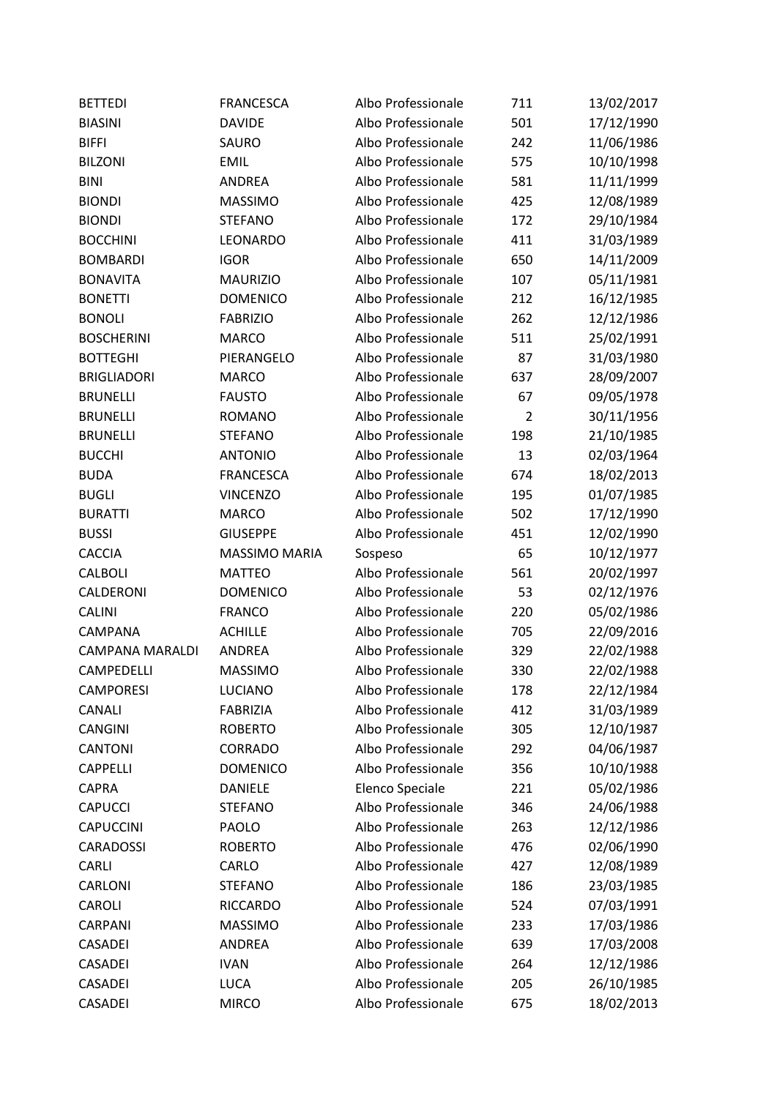| <b>BETTEDI</b>         | <b>FRANCESCA</b>     | Albo Professionale | 711            | 13/02/2017 |
|------------------------|----------------------|--------------------|----------------|------------|
| <b>BIASINI</b>         | <b>DAVIDE</b>        | Albo Professionale | 501            | 17/12/1990 |
| <b>BIFFI</b>           | <b>SAURO</b>         | Albo Professionale | 242            | 11/06/1986 |
| <b>BILZONI</b>         | <b>EMIL</b>          | Albo Professionale | 575            | 10/10/1998 |
| <b>BINI</b>            | <b>ANDREA</b>        | Albo Professionale | 581            | 11/11/1999 |
| <b>BIONDI</b>          | <b>MASSIMO</b>       | Albo Professionale | 425            | 12/08/1989 |
| <b>BIONDI</b>          | <b>STEFANO</b>       | Albo Professionale | 172            | 29/10/1984 |
| <b>BOCCHINI</b>        | LEONARDO             | Albo Professionale | 411            | 31/03/1989 |
| <b>BOMBARDI</b>        | <b>IGOR</b>          | Albo Professionale | 650            | 14/11/2009 |
| <b>BONAVITA</b>        | <b>MAURIZIO</b>      | Albo Professionale | 107            | 05/11/1981 |
| <b>BONETTI</b>         | <b>DOMENICO</b>      | Albo Professionale | 212            | 16/12/1985 |
| <b>BONOLI</b>          | <b>FABRIZIO</b>      | Albo Professionale | 262            | 12/12/1986 |
| <b>BOSCHERINI</b>      | <b>MARCO</b>         | Albo Professionale | 511            | 25/02/1991 |
| <b>BOTTEGHI</b>        | PIERANGELO           | Albo Professionale | 87             | 31/03/1980 |
| <b>BRIGLIADORI</b>     | <b>MARCO</b>         | Albo Professionale | 637            | 28/09/2007 |
| <b>BRUNELLI</b>        | <b>FAUSTO</b>        | Albo Professionale | 67             | 09/05/1978 |
| <b>BRUNELLI</b>        | <b>ROMANO</b>        | Albo Professionale | $\overline{2}$ | 30/11/1956 |
| <b>BRUNELLI</b>        | <b>STEFANO</b>       | Albo Professionale | 198            | 21/10/1985 |
| <b>BUCCHI</b>          | <b>ANTONIO</b>       | Albo Professionale | 13             | 02/03/1964 |
| <b>BUDA</b>            | <b>FRANCESCA</b>     | Albo Professionale | 674            | 18/02/2013 |
| <b>BUGLI</b>           | <b>VINCENZO</b>      | Albo Professionale | 195            | 01/07/1985 |
| <b>BURATTI</b>         | <b>MARCO</b>         | Albo Professionale | 502            | 17/12/1990 |
| <b>BUSSI</b>           | <b>GIUSEPPE</b>      | Albo Professionale | 451            | 12/02/1990 |
| <b>CACCIA</b>          | <b>MASSIMO MARIA</b> | Sospeso            | 65             | 10/12/1977 |
| <b>CALBOLI</b>         | <b>MATTEO</b>        | Albo Professionale | 561            | 20/02/1997 |
| CALDERONI              | <b>DOMENICO</b>      | Albo Professionale | 53             | 02/12/1976 |
| CALINI                 | <b>FRANCO</b>        | Albo Professionale | 220            | 05/02/1986 |
| CAMPANA                | <b>ACHILLE</b>       | Albo Professionale | 705            | 22/09/2016 |
| <b>CAMPANA MARALDI</b> | ANDREA               | Albo Professionale | 329            | 22/02/1988 |
| CAMPEDELLI             | <b>MASSIMO</b>       | Albo Professionale | 330            | 22/02/1988 |
| <b>CAMPORESI</b>       | <b>LUCIANO</b>       | Albo Professionale | 178            | 22/12/1984 |
| CANALI                 | <b>FABRIZIA</b>      | Albo Professionale | 412            | 31/03/1989 |
| <b>CANGINI</b>         | <b>ROBERTO</b>       | Albo Professionale | 305            | 12/10/1987 |
| <b>CANTONI</b>         | CORRADO              | Albo Professionale | 292            | 04/06/1987 |
| <b>CAPPELLI</b>        | <b>DOMENICO</b>      | Albo Professionale | 356            | 10/10/1988 |
| <b>CAPRA</b>           | <b>DANIELE</b>       | Elenco Speciale    | 221            | 05/02/1986 |
| <b>CAPUCCI</b>         | <b>STEFANO</b>       | Albo Professionale | 346            | 24/06/1988 |
| CAPUCCINI              | <b>PAOLO</b>         | Albo Professionale | 263            | 12/12/1986 |
| <b>CARADOSSI</b>       | <b>ROBERTO</b>       | Albo Professionale | 476            | 02/06/1990 |
| <b>CARLI</b>           | CARLO                | Albo Professionale | 427            | 12/08/1989 |
| CARLONI                | <b>STEFANO</b>       | Albo Professionale | 186            | 23/03/1985 |
| CAROLI                 | <b>RICCARDO</b>      | Albo Professionale | 524            | 07/03/1991 |
| CARPANI                | <b>MASSIMO</b>       | Albo Professionale | 233            | 17/03/1986 |
| CASADEI                | <b>ANDREA</b>        | Albo Professionale | 639            | 17/03/2008 |
| <b>CASADEI</b>         | <b>IVAN</b>          | Albo Professionale | 264            | 12/12/1986 |
| <b>CASADEI</b>         | <b>LUCA</b>          | Albo Professionale | 205            | 26/10/1985 |
| <b>CASADEI</b>         | <b>MIRCO</b>         | Albo Professionale | 675            | 18/02/2013 |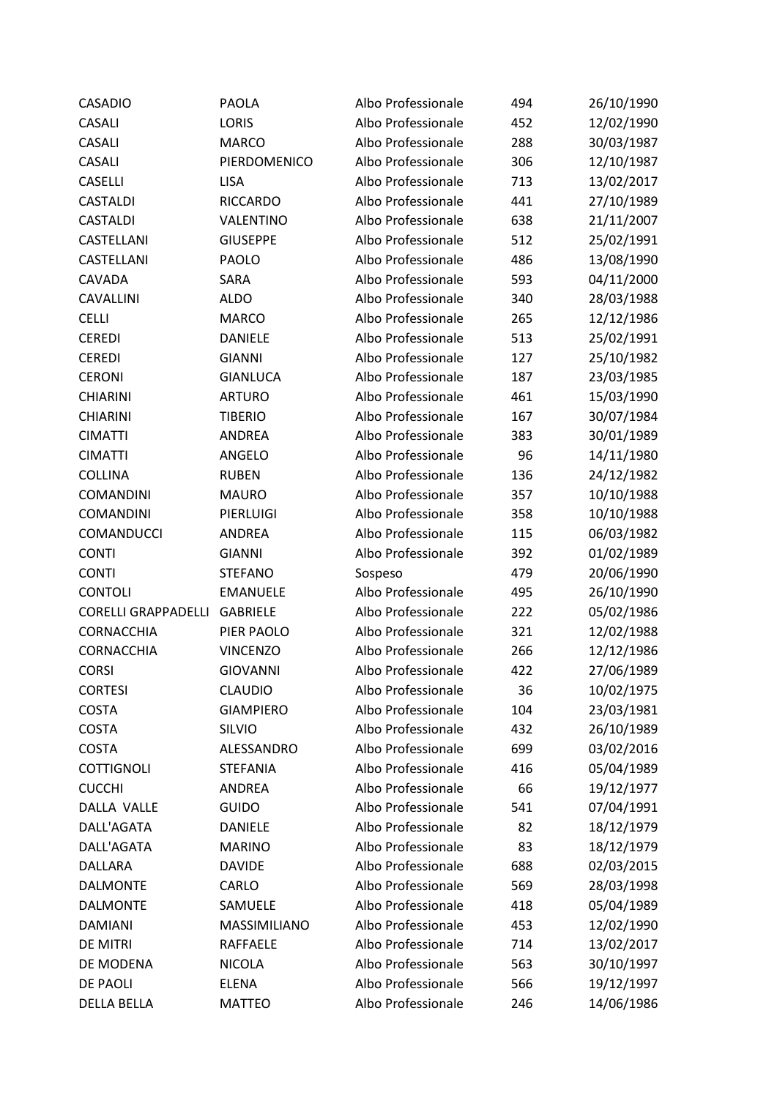| <b>CASADIO</b>               | <b>PAOLA</b>     | Albo Professionale | 494 | 26/10/1990 |
|------------------------------|------------------|--------------------|-----|------------|
| CASALI                       | <b>LORIS</b>     | Albo Professionale | 452 | 12/02/1990 |
| CASALI                       | <b>MARCO</b>     | Albo Professionale | 288 | 30/03/1987 |
| CASALI                       | PIERDOMENICO     | Albo Professionale | 306 | 12/10/1987 |
| CASELLI                      | <b>LISA</b>      | Albo Professionale | 713 | 13/02/2017 |
| <b>CASTALDI</b>              | <b>RICCARDO</b>  | Albo Professionale | 441 | 27/10/1989 |
| <b>CASTALDI</b>              | VALENTINO        | Albo Professionale | 638 | 21/11/2007 |
| CASTELLANI                   | <b>GIUSEPPE</b>  | Albo Professionale | 512 | 25/02/1991 |
| CASTELLANI                   | PAOLO            | Albo Professionale | 486 | 13/08/1990 |
| CAVADA                       | SARA             | Albo Professionale | 593 | 04/11/2000 |
| CAVALLINI                    | <b>ALDO</b>      | Albo Professionale | 340 | 28/03/1988 |
| <b>CELLI</b>                 | <b>MARCO</b>     | Albo Professionale | 265 | 12/12/1986 |
| <b>CEREDI</b>                | <b>DANIELE</b>   | Albo Professionale | 513 | 25/02/1991 |
| <b>CEREDI</b>                | <b>GIANNI</b>    | Albo Professionale | 127 | 25/10/1982 |
| <b>CERONI</b>                | <b>GIANLUCA</b>  | Albo Professionale | 187 | 23/03/1985 |
| <b>CHIARINI</b>              | <b>ARTURO</b>    | Albo Professionale | 461 | 15/03/1990 |
| <b>CHIARINI</b>              | <b>TIBERIO</b>   | Albo Professionale | 167 | 30/07/1984 |
| <b>CIMATTI</b>               | ANDREA           | Albo Professionale | 383 | 30/01/1989 |
| <b>CIMATTI</b>               | ANGELO           | Albo Professionale | 96  | 14/11/1980 |
| <b>COLLINA</b>               | <b>RUBEN</b>     | Albo Professionale | 136 | 24/12/1982 |
| <b>COMANDINI</b>             | <b>MAURO</b>     | Albo Professionale | 357 | 10/10/1988 |
| <b>COMANDINI</b>             | PIERLUIGI        | Albo Professionale | 358 | 10/10/1988 |
| COMANDUCCI                   | ANDREA           | Albo Professionale | 115 | 06/03/1982 |
| <b>CONTI</b>                 | <b>GIANNI</b>    | Albo Professionale | 392 | 01/02/1989 |
| <b>CONTI</b>                 | <b>STEFANO</b>   | Sospeso            | 479 | 20/06/1990 |
| <b>CONTOLI</b>               | <b>EMANUELE</b>  | Albo Professionale | 495 | 26/10/1990 |
| CORELLI GRAPPADELLI GABRIELE |                  | Albo Professionale | 222 | 05/02/1986 |
| <b>CORNACCHIA</b>            | PIER PAOLO       | Albo Professionale | 321 | 12/02/1988 |
| CORNACCHIA                   | <b>VINCENZO</b>  | Albo Professionale | 266 | 12/12/1986 |
| <b>CORSI</b>                 | <b>GIOVANNI</b>  | Albo Professionale | 422 | 27/06/1989 |
| <b>CORTESI</b>               | <b>CLAUDIO</b>   | Albo Professionale | 36  | 10/02/1975 |
| <b>COSTA</b>                 | <b>GIAMPIERO</b> | Albo Professionale | 104 | 23/03/1981 |
| <b>COSTA</b>                 | SILVIO           | Albo Professionale | 432 | 26/10/1989 |
| <b>COSTA</b>                 | ALESSANDRO       | Albo Professionale | 699 | 03/02/2016 |
| <b>COTTIGNOLI</b>            | <b>STEFANIA</b>  | Albo Professionale | 416 | 05/04/1989 |
| <b>CUCCHI</b>                | ANDREA           | Albo Professionale | 66  | 19/12/1977 |
| DALLA VALLE                  | <b>GUIDO</b>     | Albo Professionale | 541 | 07/04/1991 |
| DALL'AGATA                   | <b>DANIELE</b>   | Albo Professionale | 82  | 18/12/1979 |
| DALL'AGATA                   | <b>MARINO</b>    | Albo Professionale | 83  | 18/12/1979 |
| DALLARA                      | <b>DAVIDE</b>    | Albo Professionale | 688 | 02/03/2015 |
| <b>DALMONTE</b>              | CARLO            | Albo Professionale | 569 | 28/03/1998 |
| <b>DALMONTE</b>              | SAMUELE          | Albo Professionale | 418 | 05/04/1989 |
| <b>DAMIANI</b>               | MASSIMILIANO     | Albo Professionale | 453 | 12/02/1990 |
| DE MITRI                     | <b>RAFFAELE</b>  | Albo Professionale | 714 | 13/02/2017 |
| DE MODENA                    | <b>NICOLA</b>    | Albo Professionale | 563 | 30/10/1997 |
| <b>DE PAOLI</b>              | <b>ELENA</b>     | Albo Professionale | 566 | 19/12/1997 |
| <b>DELLA BELLA</b>           | <b>MATTEO</b>    | Albo Professionale | 246 | 14/06/1986 |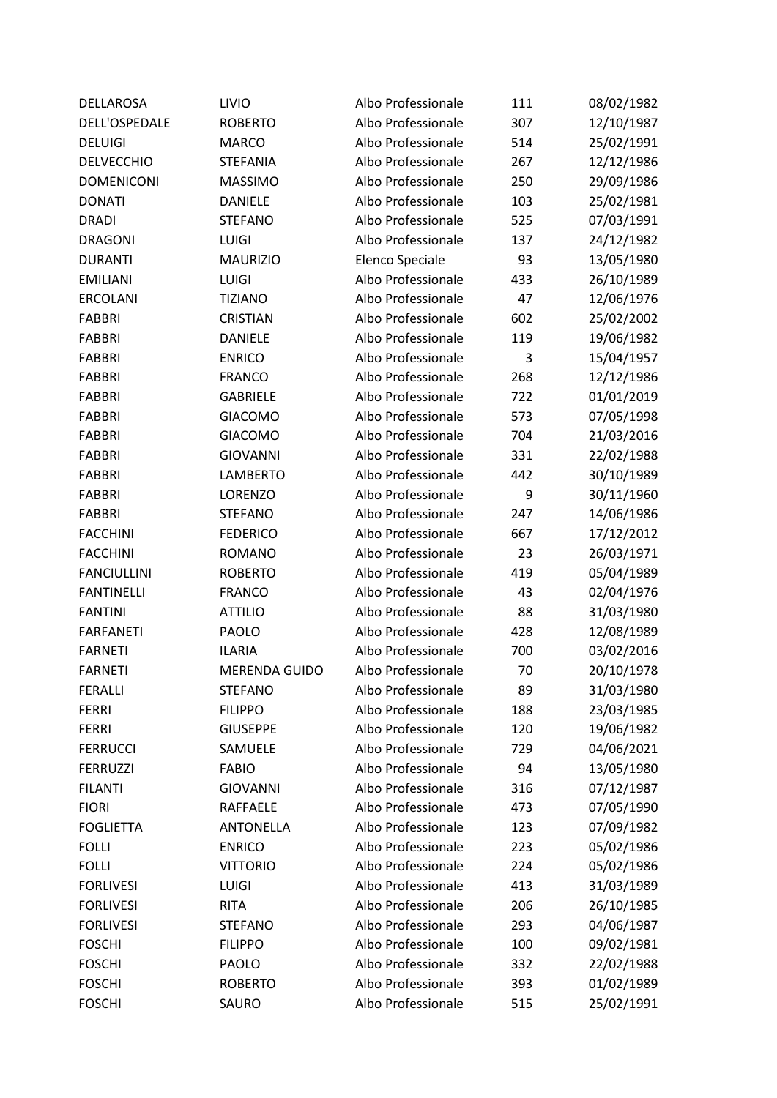| <b>DELLAROSA</b>   | LIVIO                | Albo Professionale | 111 | 08/02/1982 |
|--------------------|----------------------|--------------------|-----|------------|
| DELL'OSPEDALE      | <b>ROBERTO</b>       | Albo Professionale | 307 | 12/10/1987 |
| <b>DELUIGI</b>     | <b>MARCO</b>         | Albo Professionale | 514 | 25/02/1991 |
| <b>DELVECCHIO</b>  | <b>STEFANIA</b>      | Albo Professionale | 267 | 12/12/1986 |
| <b>DOMENICONI</b>  | <b>MASSIMO</b>       | Albo Professionale | 250 | 29/09/1986 |
| <b>DONATI</b>      | <b>DANIELE</b>       | Albo Professionale | 103 | 25/02/1981 |
| <b>DRADI</b>       | <b>STEFANO</b>       | Albo Professionale | 525 | 07/03/1991 |
| <b>DRAGONI</b>     | LUIGI                | Albo Professionale | 137 | 24/12/1982 |
| <b>DURANTI</b>     | <b>MAURIZIO</b>      | Elenco Speciale    | 93  | 13/05/1980 |
| <b>EMILIANI</b>    | <b>LUIGI</b>         | Albo Professionale | 433 | 26/10/1989 |
| <b>ERCOLANI</b>    | <b>TIZIANO</b>       | Albo Professionale | 47  | 12/06/1976 |
| <b>FABBRI</b>      | <b>CRISTIAN</b>      | Albo Professionale | 602 | 25/02/2002 |
| <b>FABBRI</b>      | <b>DANIELE</b>       | Albo Professionale | 119 | 19/06/1982 |
| <b>FABBRI</b>      | <b>ENRICO</b>        | Albo Professionale | 3   | 15/04/1957 |
| <b>FABBRI</b>      | <b>FRANCO</b>        | Albo Professionale | 268 | 12/12/1986 |
| <b>FABBRI</b>      | <b>GABRIELE</b>      | Albo Professionale | 722 | 01/01/2019 |
| <b>FABBRI</b>      | <b>GIACOMO</b>       | Albo Professionale | 573 | 07/05/1998 |
| <b>FABBRI</b>      | <b>GIACOMO</b>       | Albo Professionale | 704 | 21/03/2016 |
| <b>FABBRI</b>      | <b>GIOVANNI</b>      | Albo Professionale | 331 | 22/02/1988 |
| <b>FABBRI</b>      | <b>LAMBERTO</b>      | Albo Professionale | 442 | 30/10/1989 |
| <b>FABBRI</b>      | LORENZO              | Albo Professionale | 9   | 30/11/1960 |
| <b>FABBRI</b>      | <b>STEFANO</b>       | Albo Professionale | 247 | 14/06/1986 |
| <b>FACCHINI</b>    | <b>FEDERICO</b>      | Albo Professionale | 667 | 17/12/2012 |
| <b>FACCHINI</b>    | <b>ROMANO</b>        | Albo Professionale | 23  | 26/03/1971 |
| <b>FANCIULLINI</b> | <b>ROBERTO</b>       | Albo Professionale | 419 | 05/04/1989 |
| <b>FANTINELLI</b>  | <b>FRANCO</b>        | Albo Professionale | 43  | 02/04/1976 |
| <b>FANTINI</b>     | <b>ATTILIO</b>       | Albo Professionale | 88  | 31/03/1980 |
| <b>FARFANETI</b>   | PAOLO                | Albo Professionale | 428 | 12/08/1989 |
| <b>FARNETI</b>     | <b>ILARIA</b>        | Albo Professionale | 700 | 03/02/2016 |
| <b>FARNETI</b>     | <b>MERENDA GUIDO</b> | Albo Professionale | 70  | 20/10/1978 |
| <b>FERALLI</b>     | <b>STEFANO</b>       | Albo Professionale | 89  | 31/03/1980 |
| <b>FERRI</b>       | <b>FILIPPO</b>       | Albo Professionale | 188 | 23/03/1985 |
| <b>FERRI</b>       | <b>GIUSEPPE</b>      | Albo Professionale | 120 | 19/06/1982 |
| <b>FERRUCCI</b>    | SAMUELE              | Albo Professionale | 729 | 04/06/2021 |
| <b>FERRUZZI</b>    | <b>FABIO</b>         | Albo Professionale | 94  | 13/05/1980 |
| <b>FILANTI</b>     | <b>GIOVANNI</b>      | Albo Professionale | 316 | 07/12/1987 |
| <b>FIORI</b>       | <b>RAFFAELE</b>      | Albo Professionale | 473 | 07/05/1990 |
| <b>FOGLIETTA</b>   | <b>ANTONELLA</b>     | Albo Professionale | 123 | 07/09/1982 |
| <b>FOLLI</b>       | <b>ENRICO</b>        | Albo Professionale | 223 | 05/02/1986 |
| <b>FOLLI</b>       | <b>VITTORIO</b>      | Albo Professionale | 224 | 05/02/1986 |
| <b>FORLIVESI</b>   | <b>LUIGI</b>         | Albo Professionale | 413 | 31/03/1989 |
| <b>FORLIVESI</b>   | <b>RITA</b>          | Albo Professionale | 206 | 26/10/1985 |
| <b>FORLIVESI</b>   | <b>STEFANO</b>       | Albo Professionale | 293 | 04/06/1987 |
| <b>FOSCHI</b>      | <b>FILIPPO</b>       | Albo Professionale | 100 | 09/02/1981 |
| <b>FOSCHI</b>      | <b>PAOLO</b>         | Albo Professionale | 332 | 22/02/1988 |
| <b>FOSCHI</b>      | <b>ROBERTO</b>       | Albo Professionale | 393 | 01/02/1989 |
| <b>FOSCHI</b>      | SAURO                | Albo Professionale | 515 | 25/02/1991 |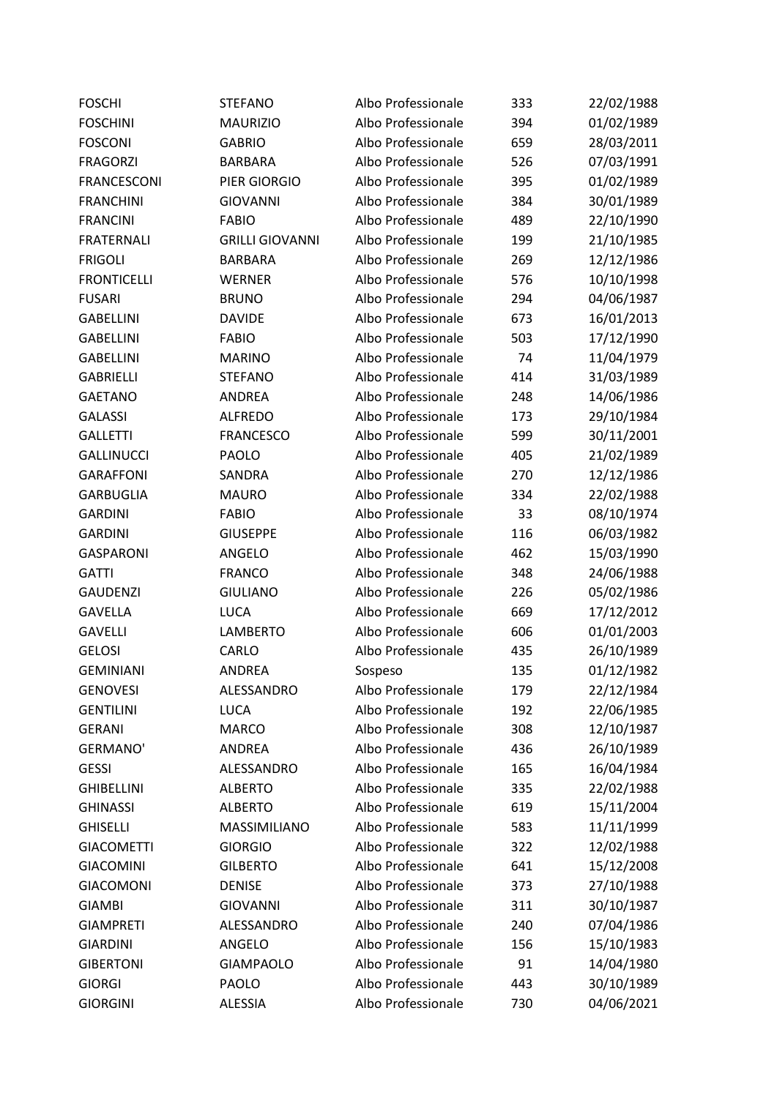| <b>FOSCHI</b>      | <b>STEFANO</b>         | Albo Professionale | 333 | 22/02/1988 |
|--------------------|------------------------|--------------------|-----|------------|
| <b>FOSCHINI</b>    | <b>MAURIZIO</b>        | Albo Professionale | 394 | 01/02/1989 |
| <b>FOSCONI</b>     | <b>GABRIO</b>          | Albo Professionale | 659 | 28/03/2011 |
| <b>FRAGORZI</b>    | <b>BARBARA</b>         | Albo Professionale | 526 | 07/03/1991 |
| <b>FRANCESCONI</b> | PIER GIORGIO           | Albo Professionale | 395 | 01/02/1989 |
| <b>FRANCHINI</b>   | <b>GIOVANNI</b>        | Albo Professionale | 384 | 30/01/1989 |
| <b>FRANCINI</b>    | <b>FABIO</b>           | Albo Professionale | 489 | 22/10/1990 |
| <b>FRATERNALI</b>  | <b>GRILLI GIOVANNI</b> | Albo Professionale | 199 | 21/10/1985 |
| <b>FRIGOLI</b>     | <b>BARBARA</b>         | Albo Professionale | 269 | 12/12/1986 |
| <b>FRONTICELLI</b> | <b>WERNER</b>          | Albo Professionale | 576 | 10/10/1998 |
| <b>FUSARI</b>      | <b>BRUNO</b>           | Albo Professionale | 294 | 04/06/1987 |
| <b>GABELLINI</b>   | <b>DAVIDE</b>          | Albo Professionale | 673 | 16/01/2013 |
| <b>GABELLINI</b>   | <b>FABIO</b>           | Albo Professionale | 503 | 17/12/1990 |
| <b>GABELLINI</b>   | <b>MARINO</b>          | Albo Professionale | 74  | 11/04/1979 |
| <b>GABRIELLI</b>   | <b>STEFANO</b>         | Albo Professionale | 414 | 31/03/1989 |
| <b>GAETANO</b>     | ANDREA                 | Albo Professionale | 248 | 14/06/1986 |
| <b>GALASSI</b>     | <b>ALFREDO</b>         | Albo Professionale | 173 | 29/10/1984 |
| <b>GALLETTI</b>    | <b>FRANCESCO</b>       | Albo Professionale | 599 | 30/11/2001 |
| <b>GALLINUCCI</b>  | PAOLO                  | Albo Professionale | 405 | 21/02/1989 |
| <b>GARAFFONI</b>   | SANDRA                 | Albo Professionale | 270 | 12/12/1986 |
| <b>GARBUGLIA</b>   | <b>MAURO</b>           | Albo Professionale | 334 | 22/02/1988 |
| <b>GARDINI</b>     | <b>FABIO</b>           | Albo Professionale | 33  | 08/10/1974 |
| <b>GARDINI</b>     | <b>GIUSEPPE</b>        | Albo Professionale | 116 | 06/03/1982 |
| <b>GASPARONI</b>   | ANGELO                 | Albo Professionale | 462 | 15/03/1990 |
| <b>GATTI</b>       | <b>FRANCO</b>          | Albo Professionale | 348 | 24/06/1988 |
| <b>GAUDENZI</b>    | <b>GIULIANO</b>        | Albo Professionale | 226 | 05/02/1986 |
| <b>GAVELLA</b>     | <b>LUCA</b>            | Albo Professionale | 669 | 17/12/2012 |
| <b>GAVELLI</b>     | <b>LAMBERTO</b>        | Albo Professionale | 606 | 01/01/2003 |
| <b>GELOSI</b>      | CARLO                  | Albo Professionale | 435 | 26/10/1989 |
| <b>GEMINIANI</b>   | <b>ANDREA</b>          | Sospeso            | 135 | 01/12/1982 |
| <b>GENOVESI</b>    | ALESSANDRO             | Albo Professionale | 179 | 22/12/1984 |
| <b>GENTILINI</b>   | LUCA                   | Albo Professionale | 192 | 22/06/1985 |
| <b>GERANI</b>      | <b>MARCO</b>           | Albo Professionale | 308 | 12/10/1987 |
| <b>GERMANO'</b>    | ANDREA                 | Albo Professionale | 436 | 26/10/1989 |
| <b>GESSI</b>       | ALESSANDRO             | Albo Professionale | 165 | 16/04/1984 |
| <b>GHIBELLINI</b>  | <b>ALBERTO</b>         | Albo Professionale | 335 | 22/02/1988 |
| <b>GHINASSI</b>    | <b>ALBERTO</b>         | Albo Professionale | 619 | 15/11/2004 |
| <b>GHISELLI</b>    | MASSIMILIANO           | Albo Professionale | 583 | 11/11/1999 |
| <b>GIACOMETTI</b>  | <b>GIORGIO</b>         | Albo Professionale | 322 | 12/02/1988 |
| <b>GIACOMINI</b>   | <b>GILBERTO</b>        | Albo Professionale | 641 | 15/12/2008 |
| <b>GIACOMONI</b>   | <b>DENISE</b>          | Albo Professionale | 373 | 27/10/1988 |
| <b>GIAMBI</b>      | <b>GIOVANNI</b>        | Albo Professionale | 311 | 30/10/1987 |
| <b>GIAMPRETI</b>   | ALESSANDRO             | Albo Professionale | 240 | 07/04/1986 |
| <b>GIARDINI</b>    | ANGELO                 | Albo Professionale | 156 | 15/10/1983 |
| <b>GIBERTONI</b>   | <b>GIAMPAOLO</b>       | Albo Professionale | 91  | 14/04/1980 |
| <b>GIORGI</b>      | <b>PAOLO</b>           | Albo Professionale | 443 | 30/10/1989 |
| <b>GIORGINI</b>    | <b>ALESSIA</b>         | Albo Professionale | 730 | 04/06/2021 |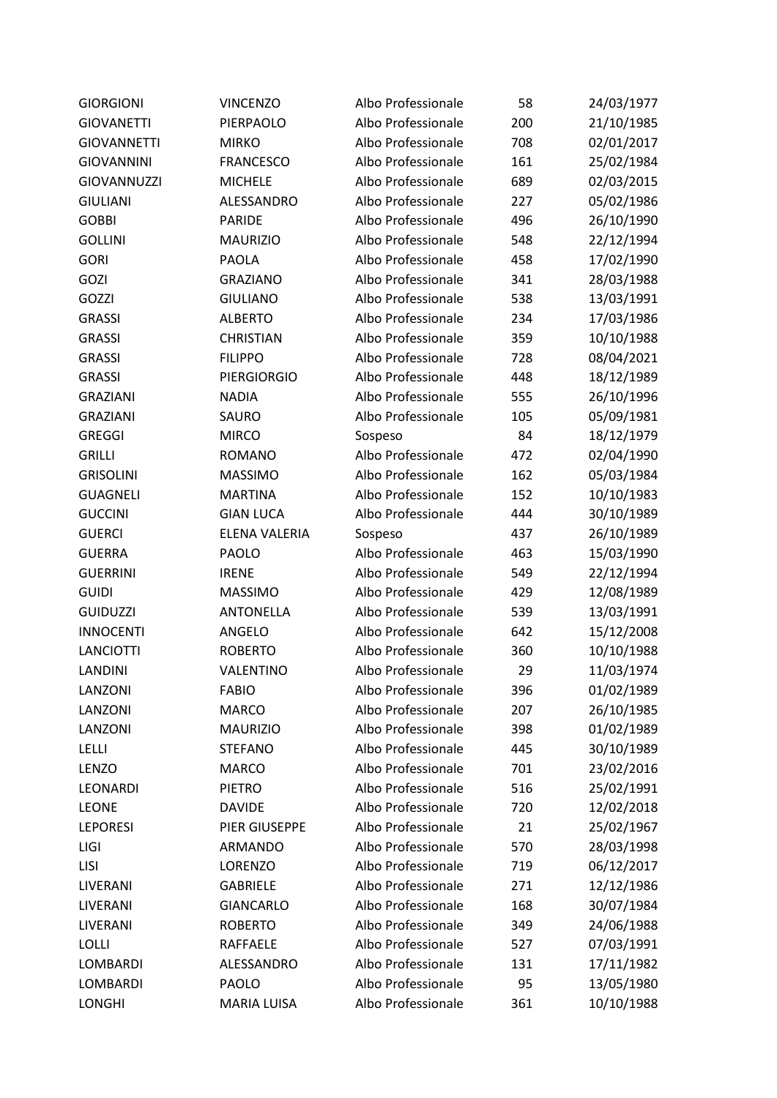| <b>GIORGIONI</b>   | <b>VINCENZO</b>      | Albo Professionale | 58  | 24/03/1977 |
|--------------------|----------------------|--------------------|-----|------------|
| <b>GIOVANETTI</b>  | PIERPAOLO            | Albo Professionale | 200 | 21/10/1985 |
| <b>GIOVANNETTI</b> | <b>MIRKO</b>         | Albo Professionale | 708 | 02/01/2017 |
| <b>GIOVANNINI</b>  | <b>FRANCESCO</b>     | Albo Professionale | 161 | 25/02/1984 |
| <b>GIOVANNUZZI</b> | <b>MICHELE</b>       | Albo Professionale | 689 | 02/03/2015 |
| <b>GIULIANI</b>    | ALESSANDRO           | Albo Professionale | 227 | 05/02/1986 |
| <b>GOBBI</b>       | <b>PARIDE</b>        | Albo Professionale | 496 | 26/10/1990 |
| <b>GOLLINI</b>     | <b>MAURIZIO</b>      | Albo Professionale | 548 | 22/12/1994 |
| <b>GORI</b>        | <b>PAOLA</b>         | Albo Professionale | 458 | 17/02/1990 |
| GOZI               | <b>GRAZIANO</b>      | Albo Professionale | 341 | 28/03/1988 |
| GOZZI              | <b>GIULIANO</b>      | Albo Professionale | 538 | 13/03/1991 |
| <b>GRASSI</b>      | <b>ALBERTO</b>       | Albo Professionale | 234 | 17/03/1986 |
| <b>GRASSI</b>      | <b>CHRISTIAN</b>     | Albo Professionale | 359 | 10/10/1988 |
| <b>GRASSI</b>      | <b>FILIPPO</b>       | Albo Professionale | 728 | 08/04/2021 |
| <b>GRASSI</b>      | <b>PIERGIORGIO</b>   | Albo Professionale | 448 | 18/12/1989 |
| <b>GRAZIANI</b>    | <b>NADIA</b>         | Albo Professionale | 555 | 26/10/1996 |
| <b>GRAZIANI</b>    | SAURO                | Albo Professionale | 105 | 05/09/1981 |
| <b>GREGGI</b>      | <b>MIRCO</b>         | Sospeso            | 84  | 18/12/1979 |
| <b>GRILLI</b>      | <b>ROMANO</b>        | Albo Professionale | 472 | 02/04/1990 |
| <b>GRISOLINI</b>   | <b>MASSIMO</b>       | Albo Professionale | 162 | 05/03/1984 |
| <b>GUAGNELI</b>    | <b>MARTINA</b>       | Albo Professionale | 152 | 10/10/1983 |
| <b>GUCCINI</b>     | <b>GIAN LUCA</b>     | Albo Professionale | 444 | 30/10/1989 |
| <b>GUERCI</b>      | <b>ELENA VALERIA</b> | Sospeso            | 437 | 26/10/1989 |
| <b>GUERRA</b>      | PAOLO                | Albo Professionale | 463 | 15/03/1990 |
| <b>GUERRINI</b>    | <b>IRENE</b>         | Albo Professionale | 549 | 22/12/1994 |
| <b>GUIDI</b>       | <b>MASSIMO</b>       | Albo Professionale | 429 | 12/08/1989 |
| <b>GUIDUZZI</b>    | <b>ANTONELLA</b>     | Albo Professionale | 539 | 13/03/1991 |
| <b>INNOCENTI</b>   | ANGELO               | Albo Professionale | 642 | 15/12/2008 |
| <b>LANCIOTTI</b>   | <b>ROBERTO</b>       | Albo Professionale | 360 | 10/10/1988 |
| <b>LANDINI</b>     | VALENTINO            | Albo Professionale | 29  | 11/03/1974 |
| LANZONI            | <b>FABIO</b>         | Albo Professionale | 396 | 01/02/1989 |
| LANZONI            | <b>MARCO</b>         | Albo Professionale | 207 | 26/10/1985 |
| LANZONI            | <b>MAURIZIO</b>      | Albo Professionale | 398 | 01/02/1989 |
| <b>LELLI</b>       | <b>STEFANO</b>       | Albo Professionale | 445 | 30/10/1989 |
| LENZO              | <b>MARCO</b>         | Albo Professionale | 701 | 23/02/2016 |
| LEONARDI           | <b>PIETRO</b>        | Albo Professionale | 516 | 25/02/1991 |
| <b>LEONE</b>       | <b>DAVIDE</b>        | Albo Professionale | 720 | 12/02/2018 |
| <b>LEPORESI</b>    | PIER GIUSEPPE        | Albo Professionale | 21  | 25/02/1967 |
| LIGI               | ARMANDO              | Albo Professionale | 570 | 28/03/1998 |
| LISI               | LORENZO              | Albo Professionale | 719 | 06/12/2017 |
| LIVERANI           | <b>GABRIELE</b>      | Albo Professionale | 271 | 12/12/1986 |
| LIVERANI           | <b>GIANCARLO</b>     | Albo Professionale | 168 | 30/07/1984 |
| LIVERANI           | <b>ROBERTO</b>       | Albo Professionale | 349 | 24/06/1988 |
| <b>LOLLI</b>       | <b>RAFFAELE</b>      | Albo Professionale | 527 | 07/03/1991 |
| LOMBARDI           | ALESSANDRO           | Albo Professionale | 131 | 17/11/1982 |
| LOMBARDI           | <b>PAOLO</b>         | Albo Professionale | 95  | 13/05/1980 |
| <b>LONGHI</b>      | <b>MARIA LUISA</b>   | Albo Professionale | 361 | 10/10/1988 |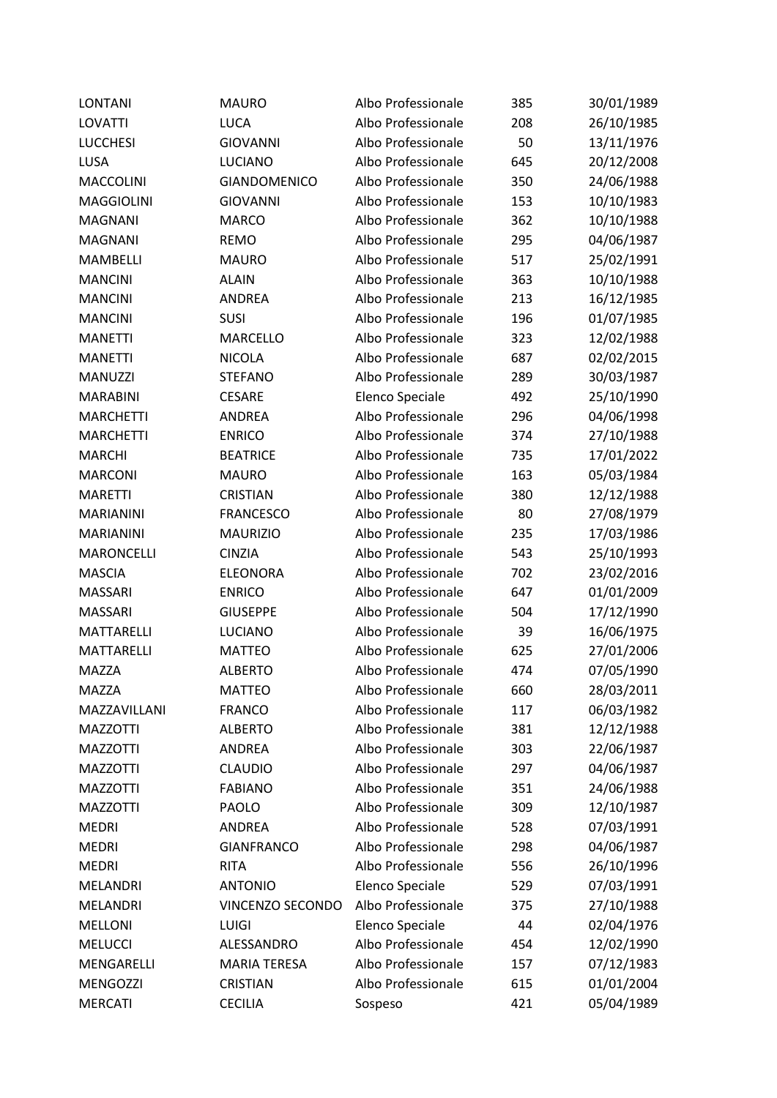| <b>LONTANI</b>    | <b>MAURO</b>        | Albo Professionale | 385 | 30/01/1989 |
|-------------------|---------------------|--------------------|-----|------------|
| <b>LOVATTI</b>    | <b>LUCA</b>         | Albo Professionale | 208 | 26/10/1985 |
| <b>LUCCHESI</b>   | <b>GIOVANNI</b>     | Albo Professionale | 50  | 13/11/1976 |
| LUSA              | <b>LUCIANO</b>      | Albo Professionale | 645 | 20/12/2008 |
| <b>MACCOLINI</b>  | <b>GIANDOMENICO</b> | Albo Professionale | 350 | 24/06/1988 |
| <b>MAGGIOLINI</b> | <b>GIOVANNI</b>     | Albo Professionale | 153 | 10/10/1983 |
| <b>MAGNANI</b>    | <b>MARCO</b>        | Albo Professionale | 362 | 10/10/1988 |
| <b>MAGNANI</b>    | <b>REMO</b>         | Albo Professionale | 295 | 04/06/1987 |
| <b>MAMBELLI</b>   | <b>MAURO</b>        | Albo Professionale | 517 | 25/02/1991 |
| <b>MANCINI</b>    | <b>ALAIN</b>        | Albo Professionale | 363 | 10/10/1988 |
| <b>MANCINI</b>    | <b>ANDREA</b>       | Albo Professionale | 213 | 16/12/1985 |
| <b>MANCINI</b>    | SUSI                | Albo Professionale | 196 | 01/07/1985 |
| <b>MANETTI</b>    | <b>MARCELLO</b>     | Albo Professionale | 323 | 12/02/1988 |
| <b>MANETTI</b>    | <b>NICOLA</b>       | Albo Professionale | 687 | 02/02/2015 |
| <b>MANUZZI</b>    | <b>STEFANO</b>      | Albo Professionale | 289 | 30/03/1987 |
| <b>MARABINI</b>   | <b>CESARE</b>       | Elenco Speciale    | 492 | 25/10/1990 |
| <b>MARCHETTI</b>  | ANDREA              | Albo Professionale | 296 | 04/06/1998 |
| <b>MARCHETTI</b>  | <b>ENRICO</b>       | Albo Professionale | 374 | 27/10/1988 |
| <b>MARCHI</b>     | <b>BEATRICE</b>     | Albo Professionale | 735 | 17/01/2022 |
| <b>MARCONI</b>    | <b>MAURO</b>        | Albo Professionale | 163 | 05/03/1984 |
| <b>MARETTI</b>    | <b>CRISTIAN</b>     | Albo Professionale | 380 | 12/12/1988 |
| <b>MARIANINI</b>  | <b>FRANCESCO</b>    | Albo Professionale | 80  | 27/08/1979 |
| <b>MARIANINI</b>  | <b>MAURIZIO</b>     | Albo Professionale | 235 | 17/03/1986 |
| <b>MARONCELLI</b> | <b>CINZIA</b>       | Albo Professionale | 543 | 25/10/1993 |
| <b>MASCIA</b>     | <b>ELEONORA</b>     | Albo Professionale | 702 | 23/02/2016 |
| <b>MASSARI</b>    | <b>ENRICO</b>       | Albo Professionale | 647 | 01/01/2009 |
| <b>MASSARI</b>    | <b>GIUSEPPE</b>     | Albo Professionale | 504 | 17/12/1990 |
| <b>MATTARELLI</b> | <b>LUCIANO</b>      | Albo Professionale | 39  | 16/06/1975 |
| <b>MATTARELLI</b> | <b>MATTEO</b>       | Albo Professionale | 625 | 27/01/2006 |
| <b>MAZZA</b>      | <b>ALBERTO</b>      | Albo Professionale | 474 | 07/05/1990 |
| <b>MAZZA</b>      | <b>MATTEO</b>       | Albo Professionale | 660 | 28/03/2011 |
| MAZZAVILLANI      | <b>FRANCO</b>       | Albo Professionale | 117 | 06/03/1982 |
| <b>MAZZOTTI</b>   | <b>ALBERTO</b>      | Albo Professionale | 381 | 12/12/1988 |
| <b>MAZZOTTI</b>   | <b>ANDREA</b>       | Albo Professionale | 303 | 22/06/1987 |
| <b>MAZZOTTI</b>   | <b>CLAUDIO</b>      | Albo Professionale | 297 | 04/06/1987 |
| <b>MAZZOTTI</b>   | <b>FABIANO</b>      | Albo Professionale | 351 | 24/06/1988 |
| <b>MAZZOTTI</b>   | <b>PAOLO</b>        | Albo Professionale | 309 | 12/10/1987 |
| <b>MEDRI</b>      | <b>ANDREA</b>       | Albo Professionale | 528 | 07/03/1991 |
| <b>MEDRI</b>      | <b>GIANFRANCO</b>   | Albo Professionale | 298 | 04/06/1987 |
| <b>MEDRI</b>      | <b>RITA</b>         | Albo Professionale | 556 | 26/10/1996 |
| <b>MELANDRI</b>   | <b>ANTONIO</b>      | Elenco Speciale    | 529 | 07/03/1991 |
| <b>MELANDRI</b>   | VINCENZO SECONDO    | Albo Professionale | 375 | 27/10/1988 |
| <b>MELLONI</b>    | LUIGI               | Elenco Speciale    | 44  | 02/04/1976 |
| <b>MELUCCI</b>    | ALESSANDRO          | Albo Professionale | 454 | 12/02/1990 |
| MENGARELLI        | <b>MARIA TERESA</b> | Albo Professionale | 157 | 07/12/1983 |
| MENGOZZI          | CRISTIAN            | Albo Professionale | 615 | 01/01/2004 |
| <b>MERCATI</b>    | <b>CECILIA</b>      | Sospeso            | 421 | 05/04/1989 |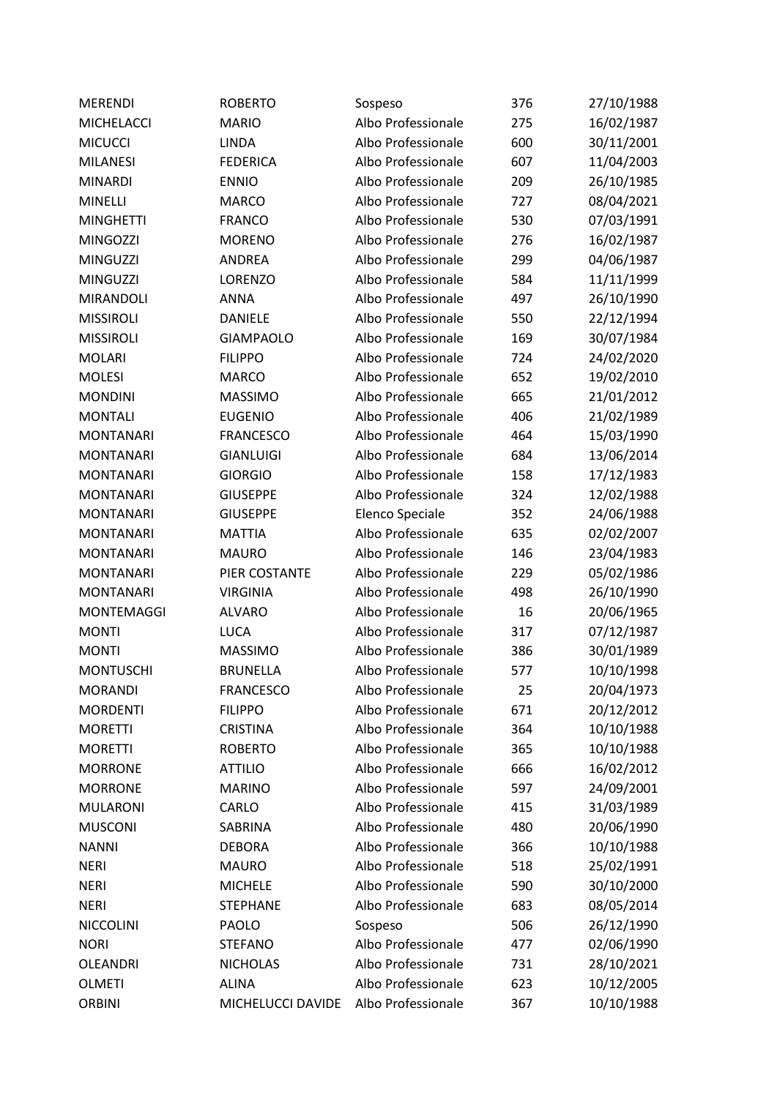| <b>MERENDI</b>    | <b>ROBERTO</b>    | Sospeso            | 376 | 27/10/1988 |
|-------------------|-------------------|--------------------|-----|------------|
| <b>MICHELACCI</b> | <b>MARIO</b>      | Albo Professionale | 275 | 16/02/1987 |
| <b>MICUCCI</b>    | <b>LINDA</b>      | Albo Professionale | 600 | 30/11/2001 |
| <b>MILANESI</b>   | <b>FEDERICA</b>   | Albo Professionale | 607 | 11/04/2003 |
| <b>MINARDI</b>    | <b>ENNIO</b>      | Albo Professionale | 209 | 26/10/1985 |
| <b>MINELLI</b>    | <b>MARCO</b>      | Albo Professionale | 727 | 08/04/2021 |
| <b>MINGHETTI</b>  | <b>FRANCO</b>     | Albo Professionale | 530 | 07/03/1991 |
| <b>MINGOZZI</b>   | <b>MORENO</b>     | Albo Professionale | 276 | 16/02/1987 |
| <b>MINGUZZI</b>   | <b>ANDREA</b>     | Albo Professionale | 299 | 04/06/1987 |
| <b>MINGUZZI</b>   | LORENZO           | Albo Professionale | 584 | 11/11/1999 |
| <b>MIRANDOLI</b>  | <b>ANNA</b>       | Albo Professionale | 497 | 26/10/1990 |
| <b>MISSIROLI</b>  | <b>DANIELE</b>    | Albo Professionale | 550 | 22/12/1994 |
| <b>MISSIROLI</b>  | <b>GIAMPAOLO</b>  | Albo Professionale | 169 | 30/07/1984 |
| <b>MOLARI</b>     | <b>FILIPPO</b>    | Albo Professionale | 724 | 24/02/2020 |
| <b>MOLESI</b>     | <b>MARCO</b>      | Albo Professionale | 652 | 19/02/2010 |
| <b>MONDINI</b>    | <b>MASSIMO</b>    | Albo Professionale | 665 | 21/01/2012 |
| <b>MONTALI</b>    | <b>EUGENIO</b>    | Albo Professionale | 406 | 21/02/1989 |
| <b>MONTANARI</b>  | <b>FRANCESCO</b>  | Albo Professionale | 464 | 15/03/1990 |
| <b>MONTANARI</b>  | <b>GIANLUIGI</b>  | Albo Professionale | 684 | 13/06/2014 |
| <b>MONTANARI</b>  | <b>GIORGIO</b>    | Albo Professionale | 158 | 17/12/1983 |
| <b>MONTANARI</b>  | <b>GIUSEPPE</b>   | Albo Professionale | 324 | 12/02/1988 |
| <b>MONTANARI</b>  | <b>GIUSEPPE</b>   | Elenco Speciale    | 352 | 24/06/1988 |
| <b>MONTANARI</b>  | <b>MATTIA</b>     | Albo Professionale | 635 | 02/02/2007 |
| <b>MONTANARI</b>  | <b>MAURO</b>      | Albo Professionale | 146 | 23/04/1983 |
| <b>MONTANARI</b>  | PIER COSTANTE     | Albo Professionale | 229 | 05/02/1986 |
| <b>MONTANARI</b>  | <b>VIRGINIA</b>   | Albo Professionale | 498 | 26/10/1990 |
| <b>MONTEMAGGI</b> | <b>ALVARO</b>     | Albo Professionale | 16  | 20/06/1965 |
| <b>MONTI</b>      | <b>LUCA</b>       | Albo Professionale | 317 | 07/12/1987 |
| <b>MONTI</b>      | <b>MASSIMO</b>    | Albo Professionale | 386 | 30/01/1989 |
| <b>MONTUSCHI</b>  | <b>BRUNELLA</b>   | Albo Professionale | 577 | 10/10/1998 |
| <b>MORANDI</b>    | <b>FRANCESCO</b>  | Albo Professionale | 25  | 20/04/1973 |
| <b>MORDENTI</b>   | <b>FILIPPO</b>    | Albo Professionale | 671 | 20/12/2012 |
| <b>MORETTI</b>    | <b>CRISTINA</b>   | Albo Professionale | 364 | 10/10/1988 |
| <b>MORETTI</b>    | <b>ROBERTO</b>    | Albo Professionale | 365 | 10/10/1988 |
| <b>MORRONE</b>    | <b>ATTILIO</b>    | Albo Professionale | 666 | 16/02/2012 |
| <b>MORRONE</b>    | <b>MARINO</b>     | Albo Professionale | 597 | 24/09/2001 |
| <b>MULARONI</b>   | CARLO             | Albo Professionale | 415 | 31/03/1989 |
| <b>MUSCONI</b>    | SABRINA           | Albo Professionale | 480 | 20/06/1990 |
| <b>NANNI</b>      | <b>DEBORA</b>     | Albo Professionale | 366 | 10/10/1988 |
| <b>NERI</b>       | <b>MAURO</b>      | Albo Professionale | 518 | 25/02/1991 |
| <b>NERI</b>       | <b>MICHELE</b>    | Albo Professionale | 590 | 30/10/2000 |
| <b>NERI</b>       | <b>STEPHANE</b>   | Albo Professionale | 683 | 08/05/2014 |
| <b>NICCOLINI</b>  | <b>PAOLO</b>      | Sospeso            | 506 | 26/12/1990 |
| <b>NORI</b>       | <b>STEFANO</b>    | Albo Professionale | 477 | 02/06/1990 |
| OLEANDRI          | <b>NICHOLAS</b>   | Albo Professionale | 731 | 28/10/2021 |
| <b>OLMETI</b>     | <b>ALINA</b>      | Albo Professionale | 623 | 10/12/2005 |
| <b>ORBINI</b>     | MICHELUCCI DAVIDE | Albo Professionale | 367 | 10/10/1988 |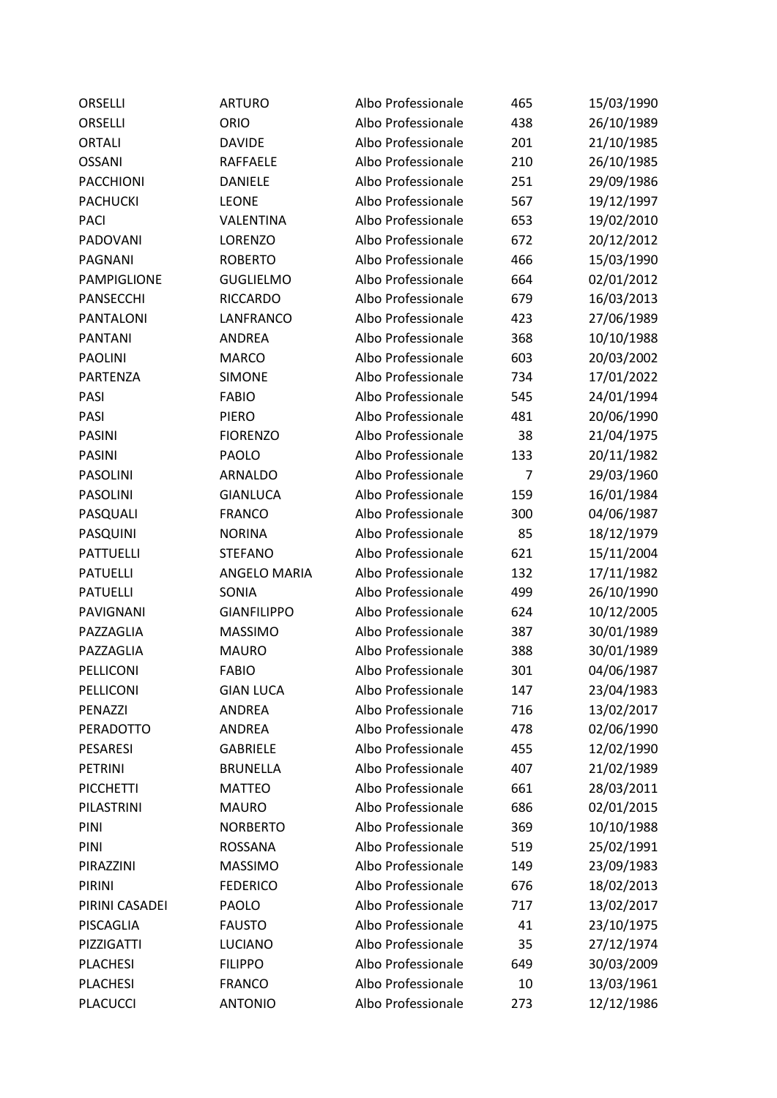| ORSELLI          | <b>ARTURO</b>      | Albo Professionale | 465 | 15/03/1990 |
|------------------|--------------------|--------------------|-----|------------|
| ORSELLI          | ORIO               | Albo Professionale | 438 | 26/10/1989 |
| <b>ORTALI</b>    | <b>DAVIDE</b>      | Albo Professionale | 201 | 21/10/1985 |
| <b>OSSANI</b>    | <b>RAFFAELE</b>    | Albo Professionale | 210 | 26/10/1985 |
| <b>PACCHIONI</b> | <b>DANIELE</b>     | Albo Professionale | 251 | 29/09/1986 |
| <b>PACHUCKI</b>  | <b>LEONE</b>       | Albo Professionale | 567 | 19/12/1997 |
| <b>PACI</b>      | VALENTINA          | Albo Professionale | 653 | 19/02/2010 |
| PADOVANI         | LORENZO            | Albo Professionale | 672 | 20/12/2012 |
| <b>PAGNANI</b>   | <b>ROBERTO</b>     | Albo Professionale | 466 | 15/03/1990 |
| PAMPIGLIONE      | <b>GUGLIELMO</b>   | Albo Professionale | 664 | 02/01/2012 |
| PANSECCHI        | <b>RICCARDO</b>    | Albo Professionale | 679 | 16/03/2013 |
| <b>PANTALONI</b> | LANFRANCO          | Albo Professionale | 423 | 27/06/1989 |
| <b>PANTANI</b>   | ANDREA             | Albo Professionale | 368 | 10/10/1988 |
| <b>PAOLINI</b>   | <b>MARCO</b>       | Albo Professionale | 603 | 20/03/2002 |
| PARTENZA         | <b>SIMONE</b>      | Albo Professionale | 734 | 17/01/2022 |
| PASI             | <b>FABIO</b>       | Albo Professionale | 545 | 24/01/1994 |
| PASI             | <b>PIERO</b>       | Albo Professionale | 481 | 20/06/1990 |
| <b>PASINI</b>    | <b>FIORENZO</b>    | Albo Professionale | 38  | 21/04/1975 |
| <b>PASINI</b>    | <b>PAOLO</b>       | Albo Professionale | 133 | 20/11/1982 |
| <b>PASOLINI</b>  | <b>ARNALDO</b>     | Albo Professionale | 7   | 29/03/1960 |
| <b>PASOLINI</b>  | <b>GIANLUCA</b>    | Albo Professionale | 159 | 16/01/1984 |
| PASQUALI         | <b>FRANCO</b>      | Albo Professionale | 300 | 04/06/1987 |
| PASQUINI         | <b>NORINA</b>      | Albo Professionale | 85  | 18/12/1979 |
| <b>PATTUELLI</b> | <b>STEFANO</b>     | Albo Professionale | 621 | 15/11/2004 |
| <b>PATUELLI</b>  | ANGELO MARIA       | Albo Professionale | 132 | 17/11/1982 |
| <b>PATUELLI</b>  | SONIA              | Albo Professionale | 499 | 26/10/1990 |
| PAVIGNANI        | <b>GIANFILIPPO</b> | Albo Professionale | 624 | 10/12/2005 |
| PAZZAGLIA        | <b>MASSIMO</b>     | Albo Professionale | 387 | 30/01/1989 |
| PAZZAGLIA        | <b>MAURO</b>       | Albo Professionale | 388 | 30/01/1989 |
| PELLICONI        | <b>FABIO</b>       | Albo Professionale | 301 | 04/06/1987 |
| PELLICONI        | <b>GIAN LUCA</b>   | Albo Professionale | 147 | 23/04/1983 |
| PENAZZI          | <b>ANDREA</b>      | Albo Professionale | 716 | 13/02/2017 |
| PERADOTTO        | ANDREA             | Albo Professionale | 478 | 02/06/1990 |
| PESARESI         | <b>GABRIELE</b>    | Albo Professionale | 455 | 12/02/1990 |
| <b>PETRINI</b>   | <b>BRUNELLA</b>    | Albo Professionale | 407 | 21/02/1989 |
| <b>PICCHETTI</b> | <b>MATTEO</b>      | Albo Professionale | 661 | 28/03/2011 |
| PILASTRINI       | <b>MAURO</b>       | Albo Professionale | 686 | 02/01/2015 |
| PINI             | <b>NORBERTO</b>    | Albo Professionale | 369 | 10/10/1988 |
| PINI             | <b>ROSSANA</b>     | Albo Professionale | 519 | 25/02/1991 |
| PIRAZZINI        | <b>MASSIMO</b>     | Albo Professionale | 149 | 23/09/1983 |
| PIRINI           | <b>FEDERICO</b>    | Albo Professionale | 676 | 18/02/2013 |
| PIRINI CASADEI   | PAOLO              | Albo Professionale | 717 | 13/02/2017 |
| PISCAGLIA        | <b>FAUSTO</b>      | Albo Professionale | 41  | 23/10/1975 |
| PIZZIGATTI       | LUCIANO            | Albo Professionale | 35  | 27/12/1974 |
| <b>PLACHESI</b>  | <b>FILIPPO</b>     | Albo Professionale | 649 | 30/03/2009 |
| <b>PLACHESI</b>  | <b>FRANCO</b>      | Albo Professionale | 10  | 13/03/1961 |
| <b>PLACUCCI</b>  | <b>ANTONIO</b>     | Albo Professionale | 273 | 12/12/1986 |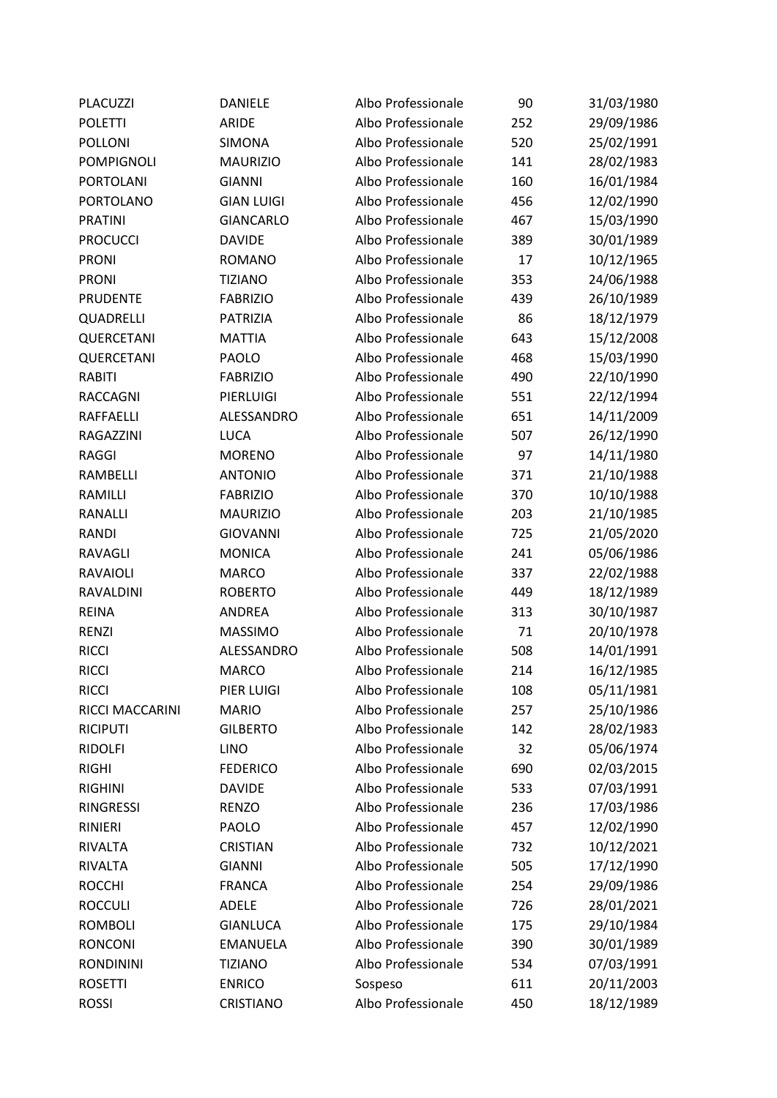| <b>PLACUZZI</b>   | <b>DANIELE</b>    | Albo Professionale | 90  | 31/03/1980 |
|-------------------|-------------------|--------------------|-----|------------|
| <b>POLETTI</b>    | <b>ARIDE</b>      | Albo Professionale | 252 | 29/09/1986 |
| POLLONI           | <b>SIMONA</b>     | Albo Professionale | 520 | 25/02/1991 |
| <b>POMPIGNOLI</b> | <b>MAURIZIO</b>   | Albo Professionale | 141 | 28/02/1983 |
| <b>PORTOLANI</b>  | <b>GIANNI</b>     | Albo Professionale | 160 | 16/01/1984 |
| <b>PORTOLANO</b>  | <b>GIAN LUIGI</b> | Albo Professionale | 456 | 12/02/1990 |
| <b>PRATINI</b>    | <b>GIANCARLO</b>  | Albo Professionale | 467 | 15/03/1990 |
| <b>PROCUCCI</b>   | <b>DAVIDE</b>     | Albo Professionale | 389 | 30/01/1989 |
| <b>PRONI</b>      | <b>ROMANO</b>     | Albo Professionale | 17  | 10/12/1965 |
| <b>PRONI</b>      | <b>TIZIANO</b>    | Albo Professionale | 353 | 24/06/1988 |
| <b>PRUDENTE</b>   | <b>FABRIZIO</b>   | Albo Professionale | 439 | 26/10/1989 |
| QUADRELLI         | PATRIZIA          | Albo Professionale | 86  | 18/12/1979 |
| QUERCETANI        | <b>MATTIA</b>     | Albo Professionale | 643 | 15/12/2008 |
| QUERCETANI        | PAOLO             | Albo Professionale | 468 | 15/03/1990 |
| <b>RABITI</b>     | <b>FABRIZIO</b>   | Albo Professionale | 490 | 22/10/1990 |
| <b>RACCAGNI</b>   | PIERLUIGI         | Albo Professionale | 551 | 22/12/1994 |
| RAFFAELLI         | ALESSANDRO        | Albo Professionale | 651 | 14/11/2009 |
| RAGAZZINI         | <b>LUCA</b>       | Albo Professionale | 507 | 26/12/1990 |
| <b>RAGGI</b>      | <b>MORENO</b>     | Albo Professionale | 97  | 14/11/1980 |
| RAMBELLI          | <b>ANTONIO</b>    | Albo Professionale | 371 | 21/10/1988 |
| <b>RAMILLI</b>    | <b>FABRIZIO</b>   | Albo Professionale | 370 | 10/10/1988 |
| <b>RANALLI</b>    | <b>MAURIZIO</b>   | Albo Professionale | 203 | 21/10/1985 |
| <b>RANDI</b>      | <b>GIOVANNI</b>   | Albo Professionale | 725 | 21/05/2020 |
| <b>RAVAGLI</b>    | <b>MONICA</b>     | Albo Professionale | 241 | 05/06/1986 |
| <b>RAVAIOLI</b>   | <b>MARCO</b>      | Albo Professionale | 337 | 22/02/1988 |
| RAVALDINI         | <b>ROBERTO</b>    | Albo Professionale | 449 | 18/12/1989 |
| <b>REINA</b>      | <b>ANDREA</b>     | Albo Professionale | 313 | 30/10/1987 |
| <b>RENZI</b>      | <b>MASSIMO</b>    | Albo Professionale | 71  | 20/10/1978 |
| <b>RICCI</b>      | ALESSANDRO        | Albo Professionale | 508 | 14/01/1991 |
| <b>RICCI</b>      | <b>MARCO</b>      | Albo Professionale | 214 | 16/12/1985 |
| <b>RICCI</b>      | PIER LUIGI        | Albo Professionale | 108 | 05/11/1981 |
| RICCI MACCARINI   | <b>MARIO</b>      | Albo Professionale | 257 | 25/10/1986 |
| <b>RICIPUTI</b>   | <b>GILBERTO</b>   | Albo Professionale | 142 | 28/02/1983 |
| <b>RIDOLFI</b>    | <b>LINO</b>       | Albo Professionale | 32  | 05/06/1974 |
| <b>RIGHI</b>      | <b>FEDERICO</b>   | Albo Professionale | 690 | 02/03/2015 |
| <b>RIGHINI</b>    | <b>DAVIDE</b>     | Albo Professionale | 533 | 07/03/1991 |
| <b>RINGRESSI</b>  | <b>RENZO</b>      | Albo Professionale | 236 | 17/03/1986 |
| <b>RINIERI</b>    | PAOLO             | Albo Professionale | 457 | 12/02/1990 |
| <b>RIVALTA</b>    | <b>CRISTIAN</b>   | Albo Professionale | 732 | 10/12/2021 |
| <b>RIVALTA</b>    | <b>GIANNI</b>     | Albo Professionale | 505 | 17/12/1990 |
| <b>ROCCHI</b>     | <b>FRANCA</b>     | Albo Professionale | 254 | 29/09/1986 |
| <b>ROCCULI</b>    | <b>ADELE</b>      | Albo Professionale | 726 | 28/01/2021 |
| <b>ROMBOLI</b>    | <b>GIANLUCA</b>   | Albo Professionale | 175 | 29/10/1984 |
| <b>RONCONI</b>    | <b>EMANUELA</b>   | Albo Professionale | 390 | 30/01/1989 |
| <b>RONDININI</b>  | <b>TIZIANO</b>    | Albo Professionale | 534 | 07/03/1991 |
| <b>ROSETTI</b>    | <b>ENRICO</b>     | Sospeso            | 611 | 20/11/2003 |
| <b>ROSSI</b>      | CRISTIANO         | Albo Professionale | 450 | 18/12/1989 |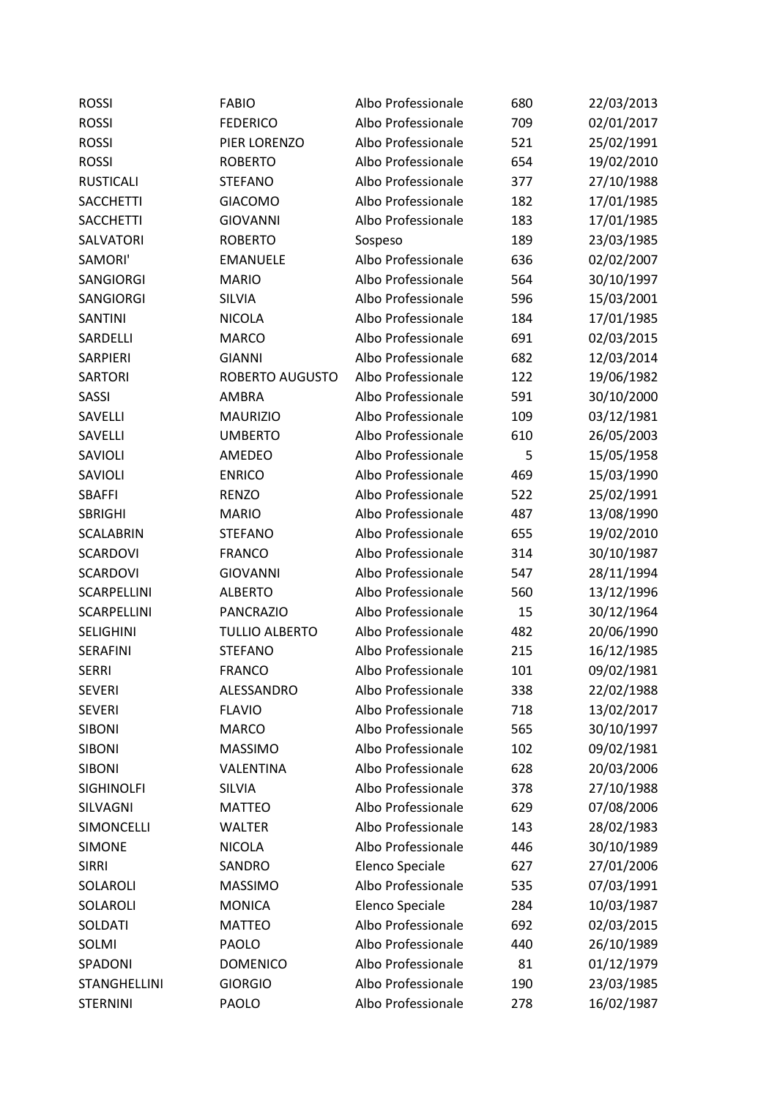| <b>ROSSI</b>      | <b>FABIO</b>          | Albo Professionale | 680 | 22/03/2013 |
|-------------------|-----------------------|--------------------|-----|------------|
| <b>ROSSI</b>      | <b>FEDERICO</b>       | Albo Professionale | 709 | 02/01/2017 |
| <b>ROSSI</b>      | PIER LORENZO          | Albo Professionale | 521 | 25/02/1991 |
| <b>ROSSI</b>      | <b>ROBERTO</b>        | Albo Professionale | 654 | 19/02/2010 |
| <b>RUSTICALI</b>  | <b>STEFANO</b>        | Albo Professionale | 377 | 27/10/1988 |
| <b>SACCHETTI</b>  | <b>GIACOMO</b>        | Albo Professionale | 182 | 17/01/1985 |
| <b>SACCHETTI</b>  | <b>GIOVANNI</b>       | Albo Professionale | 183 | 17/01/1985 |
| SALVATORI         | <b>ROBERTO</b>        | Sospeso            | 189 | 23/03/1985 |
| SAMORI'           | <b>EMANUELE</b>       | Albo Professionale | 636 | 02/02/2007 |
| SANGIORGI         | <b>MARIO</b>          | Albo Professionale | 564 | 30/10/1997 |
| SANGIORGI         | SILVIA                | Albo Professionale | 596 | 15/03/2001 |
| <b>SANTINI</b>    | <b>NICOLA</b>         | Albo Professionale | 184 | 17/01/1985 |
| SARDELLI          | <b>MARCO</b>          | Albo Professionale | 691 | 02/03/2015 |
| <b>SARPIERI</b>   | <b>GIANNI</b>         | Albo Professionale | 682 | 12/03/2014 |
| <b>SARTORI</b>    | ROBERTO AUGUSTO       | Albo Professionale | 122 | 19/06/1982 |
| SASSI             | <b>AMBRA</b>          | Albo Professionale | 591 | 30/10/2000 |
| SAVELLI           | <b>MAURIZIO</b>       | Albo Professionale | 109 | 03/12/1981 |
| SAVELLI           | <b>UMBERTO</b>        | Albo Professionale | 610 | 26/05/2003 |
| SAVIOLI           | AMEDEO                | Albo Professionale | 5   | 15/05/1958 |
| SAVIOLI           | <b>ENRICO</b>         | Albo Professionale | 469 | 15/03/1990 |
| <b>SBAFFI</b>     | <b>RENZO</b>          | Albo Professionale | 522 | 25/02/1991 |
| <b>SBRIGHI</b>    | <b>MARIO</b>          | Albo Professionale | 487 | 13/08/1990 |
| <b>SCALABRIN</b>  | <b>STEFANO</b>        | Albo Professionale | 655 | 19/02/2010 |
| <b>SCARDOVI</b>   | <b>FRANCO</b>         | Albo Professionale | 314 | 30/10/1987 |
| <b>SCARDOVI</b>   | <b>GIOVANNI</b>       | Albo Professionale | 547 | 28/11/1994 |
| SCARPELLINI       | <b>ALBERTO</b>        | Albo Professionale | 560 | 13/12/1996 |
| SCARPELLINI       | <b>PANCRAZIO</b>      | Albo Professionale | 15  | 30/12/1964 |
| <b>SELIGHINI</b>  | <b>TULLIO ALBERTO</b> | Albo Professionale | 482 | 20/06/1990 |
| <b>SERAFINI</b>   | <b>STEFANO</b>        | Albo Professionale | 215 | 16/12/1985 |
| <b>SERRI</b>      | <b>FRANCO</b>         | Albo Professionale | 101 | 09/02/1981 |
| <b>SEVERI</b>     | ALESSANDRO            | Albo Professionale | 338 | 22/02/1988 |
| <b>SEVERI</b>     | <b>FLAVIO</b>         | Albo Professionale | 718 | 13/02/2017 |
| <b>SIBONI</b>     | <b>MARCO</b>          | Albo Professionale | 565 | 30/10/1997 |
| <b>SIBONI</b>     | <b>MASSIMO</b>        | Albo Professionale | 102 | 09/02/1981 |
| <b>SIBONI</b>     | VALENTINA             | Albo Professionale | 628 | 20/03/2006 |
| <b>SIGHINOLFI</b> | SILVIA                | Albo Professionale | 378 | 27/10/1988 |
| SILVAGNI          | <b>MATTEO</b>         | Albo Professionale | 629 | 07/08/2006 |
| <b>SIMONCELLI</b> | <b>WALTER</b>         | Albo Professionale | 143 | 28/02/1983 |
| <b>SIMONE</b>     | <b>NICOLA</b>         | Albo Professionale | 446 | 30/10/1989 |
| <b>SIRRI</b>      | SANDRO                | Elenco Speciale    | 627 | 27/01/2006 |
| SOLAROLI          | <b>MASSIMO</b>        | Albo Professionale | 535 | 07/03/1991 |
| SOLAROLI          | <b>MONICA</b>         | Elenco Speciale    | 284 | 10/03/1987 |
| SOLDATI           | <b>MATTEO</b>         | Albo Professionale | 692 | 02/03/2015 |
| SOLMI             | <b>PAOLO</b>          | Albo Professionale | 440 | 26/10/1989 |
| SPADONI           | <b>DOMENICO</b>       | Albo Professionale | 81  | 01/12/1979 |
| STANGHELLINI      | <b>GIORGIO</b>        | Albo Professionale | 190 | 23/03/1985 |
| <b>STERNINI</b>   | PAOLO                 | Albo Professionale | 278 | 16/02/1987 |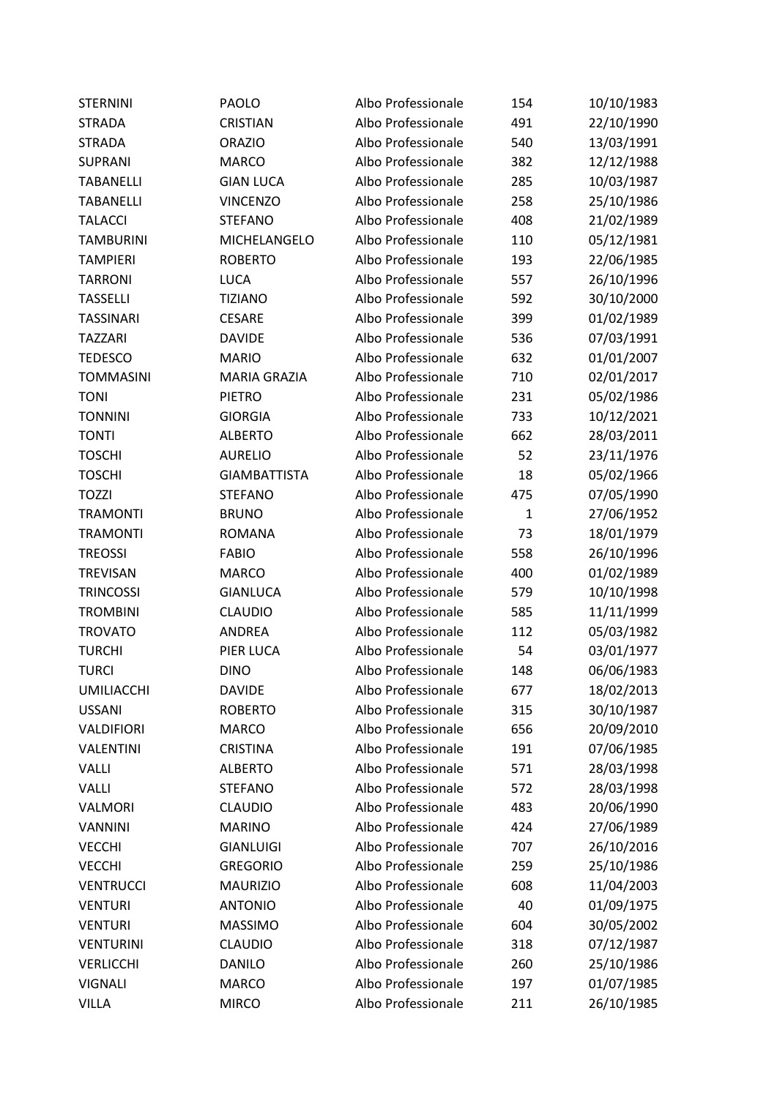| <b>STERNINI</b>   | PAOLO               | Albo Professionale | 154          | 10/10/1983 |
|-------------------|---------------------|--------------------|--------------|------------|
| <b>STRADA</b>     | <b>CRISTIAN</b>     | Albo Professionale | 491          | 22/10/1990 |
| <b>STRADA</b>     | <b>ORAZIO</b>       | Albo Professionale | 540          | 13/03/1991 |
| <b>SUPRANI</b>    | <b>MARCO</b>        | Albo Professionale | 382          | 12/12/1988 |
| <b>TABANELLI</b>  | <b>GIAN LUCA</b>    | Albo Professionale | 285          | 10/03/1987 |
| <b>TABANELLI</b>  | <b>VINCENZO</b>     | Albo Professionale | 258          | 25/10/1986 |
| <b>TALACCI</b>    | <b>STEFANO</b>      | Albo Professionale | 408          | 21/02/1989 |
| <b>TAMBURINI</b>  | MICHELANGELO        | Albo Professionale | 110          | 05/12/1981 |
| <b>TAMPIERI</b>   | <b>ROBERTO</b>      | Albo Professionale | 193          | 22/06/1985 |
| <b>TARRONI</b>    | <b>LUCA</b>         | Albo Professionale | 557          | 26/10/1996 |
| <b>TASSELLI</b>   | <b>TIZIANO</b>      | Albo Professionale | 592          | 30/10/2000 |
| <b>TASSINARI</b>  | <b>CESARE</b>       | Albo Professionale | 399          | 01/02/1989 |
| <b>TAZZARI</b>    | <b>DAVIDE</b>       | Albo Professionale | 536          | 07/03/1991 |
| <b>TEDESCO</b>    | <b>MARIO</b>        | Albo Professionale | 632          | 01/01/2007 |
| <b>TOMMASINI</b>  | <b>MARIA GRAZIA</b> | Albo Professionale | 710          | 02/01/2017 |
| <b>TONI</b>       | <b>PIETRO</b>       | Albo Professionale | 231          | 05/02/1986 |
| <b>TONNINI</b>    | <b>GIORGIA</b>      | Albo Professionale | 733          | 10/12/2021 |
| <b>TONTI</b>      | <b>ALBERTO</b>      | Albo Professionale | 662          | 28/03/2011 |
| <b>TOSCHI</b>     | <b>AURELIO</b>      | Albo Professionale | 52           | 23/11/1976 |
| <b>TOSCHI</b>     | <b>GIAMBATTISTA</b> | Albo Professionale | 18           | 05/02/1966 |
| <b>TOZZI</b>      | <b>STEFANO</b>      | Albo Professionale | 475          | 07/05/1990 |
| <b>TRAMONTI</b>   | <b>BRUNO</b>        | Albo Professionale | $\mathbf{1}$ | 27/06/1952 |
| <b>TRAMONTI</b>   | <b>ROMANA</b>       | Albo Professionale | 73           | 18/01/1979 |
| <b>TREOSSI</b>    | <b>FABIO</b>        | Albo Professionale | 558          | 26/10/1996 |
| <b>TREVISAN</b>   | <b>MARCO</b>        | Albo Professionale | 400          | 01/02/1989 |
| <b>TRINCOSSI</b>  | <b>GIANLUCA</b>     | Albo Professionale | 579          | 10/10/1998 |
| <b>TROMBINI</b>   | <b>CLAUDIO</b>      | Albo Professionale | 585          | 11/11/1999 |
| <b>TROVATO</b>    | <b>ANDREA</b>       | Albo Professionale | 112          | 05/03/1982 |
| <b>TURCHI</b>     | PIER LUCA           | Albo Professionale | 54           | 03/01/1977 |
| <b>TURCI</b>      | <b>DINO</b>         | Albo Professionale | 148          | 06/06/1983 |
| <b>UMILIACCHI</b> | <b>DAVIDE</b>       | Albo Professionale | 677          | 18/02/2013 |
| <b>USSANI</b>     | <b>ROBERTO</b>      | Albo Professionale | 315          | 30/10/1987 |
| VALDIFIORI        | <b>MARCO</b>        | Albo Professionale | 656          | 20/09/2010 |
| <b>VALENTINI</b>  | <b>CRISTINA</b>     | Albo Professionale | 191          | 07/06/1985 |
| <b>VALLI</b>      | <b>ALBERTO</b>      | Albo Professionale | 571          | 28/03/1998 |
| VALLI             | <b>STEFANO</b>      | Albo Professionale | 572          | 28/03/1998 |
| VALMORI           | <b>CLAUDIO</b>      | Albo Professionale | 483          | 20/06/1990 |
| <b>VANNINI</b>    | <b>MARINO</b>       | Albo Professionale | 424          | 27/06/1989 |
| <b>VECCHI</b>     | <b>GIANLUIGI</b>    | Albo Professionale | 707          | 26/10/2016 |
| <b>VECCHI</b>     | <b>GREGORIO</b>     | Albo Professionale | 259          | 25/10/1986 |
| <b>VENTRUCCI</b>  | <b>MAURIZIO</b>     | Albo Professionale | 608          | 11/04/2003 |
| <b>VENTURI</b>    | <b>ANTONIO</b>      | Albo Professionale | 40           | 01/09/1975 |
| <b>VENTURI</b>    | <b>MASSIMO</b>      | Albo Professionale | 604          | 30/05/2002 |
| <b>VENTURINI</b>  | <b>CLAUDIO</b>      | Albo Professionale | 318          | 07/12/1987 |
| <b>VERLICCHI</b>  | <b>DANILO</b>       | Albo Professionale | 260          | 25/10/1986 |
| <b>VIGNALI</b>    | <b>MARCO</b>        | Albo Professionale | 197          | 01/07/1985 |
| VILLA             | <b>MIRCO</b>        | Albo Professionale | 211          | 26/10/1985 |